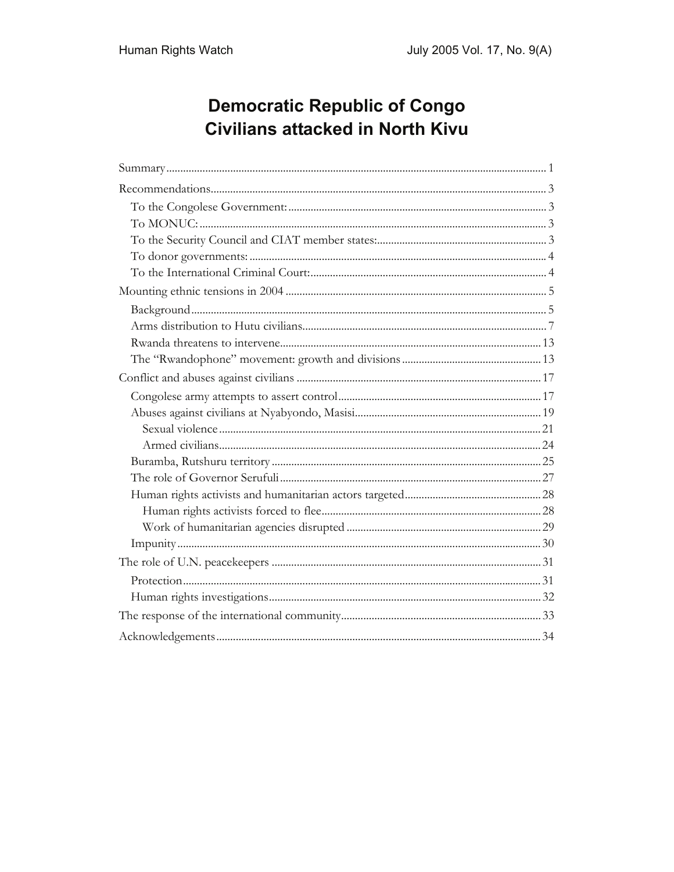# **Democratic Republic of Congo Civilians attacked in North Kivu**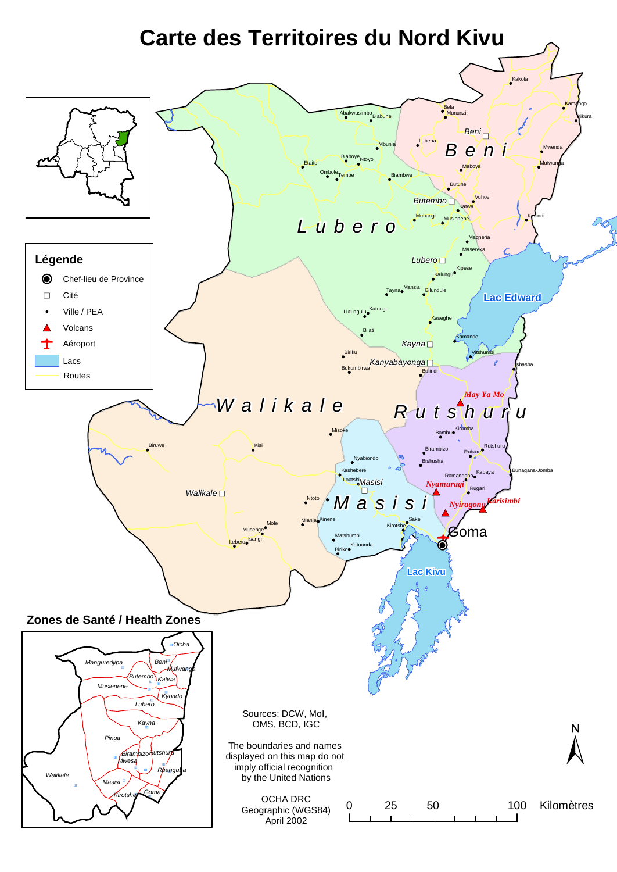# **Carte des Territoires du Nord Kivu**

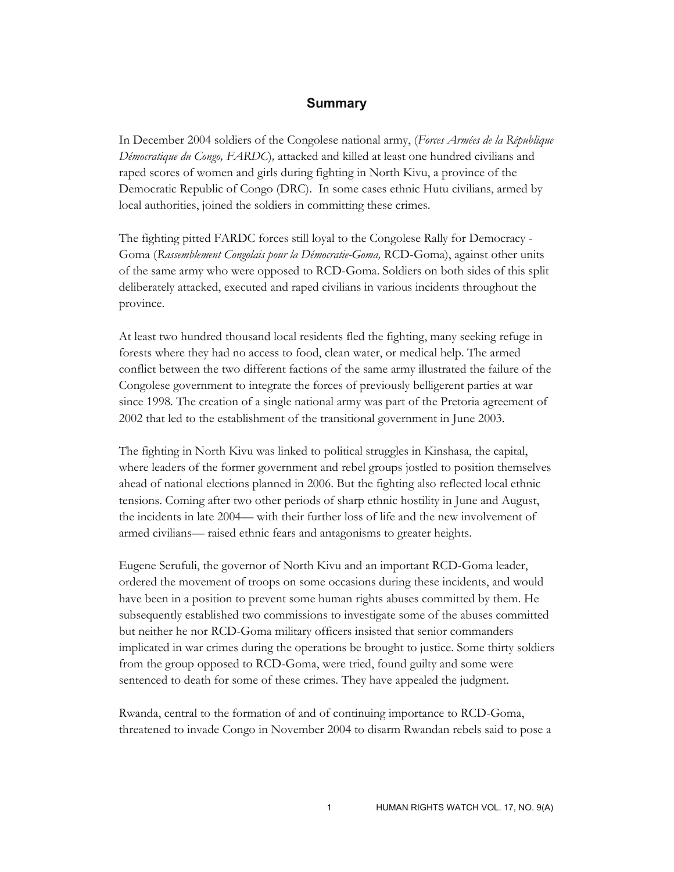#### **Summary**

In December 2004 soldiers of the Congolese national army, (*Forces Armées de la République Démocratique du Congo, FARDC*)*,* attacked and killed at least one hundred civilians and raped scores of women and girls during fighting in North Kivu, a province of the Democratic Republic of Congo (DRC). In some cases ethnic Hutu civilians, armed by local authorities, joined the soldiers in committing these crimes.

The fighting pitted FARDC forces still loyal to the Congolese Rally for Democracy - Goma (*Rassemblement Congolais pour la Démocratie-Goma,* RCD-Goma), against other units of the same army who were opposed to RCD-Goma. Soldiers on both sides of this split deliberately attacked, executed and raped civilians in various incidents throughout the province.

At least two hundred thousand local residents fled the fighting, many seeking refuge in forests where they had no access to food, clean water, or medical help. The armed conflict between the two different factions of the same army illustrated the failure of the Congolese government to integrate the forces of previously belligerent parties at war since 1998. The creation of a single national army was part of the Pretoria agreement of 2002 that led to the establishment of the transitional government in June 2003.

The fighting in North Kivu was linked to political struggles in Kinshasa, the capital, where leaders of the former government and rebel groups jostled to position themselves ahead of national elections planned in 2006. But the fighting also reflected local ethnic tensions. Coming after two other periods of sharp ethnic hostility in June and August, the incidents in late 2004— with their further loss of life and the new involvement of armed civilians— raised ethnic fears and antagonisms to greater heights.

Eugene Serufuli, the governor of North Kivu and an important RCD-Goma leader, ordered the movement of troops on some occasions during these incidents, and would have been in a position to prevent some human rights abuses committed by them. He subsequently established two commissions to investigate some of the abuses committed but neither he nor RCD-Goma military officers insisted that senior commanders implicated in war crimes during the operations be brought to justice. Some thirty soldiers from the group opposed to RCD-Goma, were tried, found guilty and some were sentenced to death for some of these crimes. They have appealed the judgment.

Rwanda, central to the formation of and of continuing importance to RCD-Goma, threatened to invade Congo in November 2004 to disarm Rwandan rebels said to pose a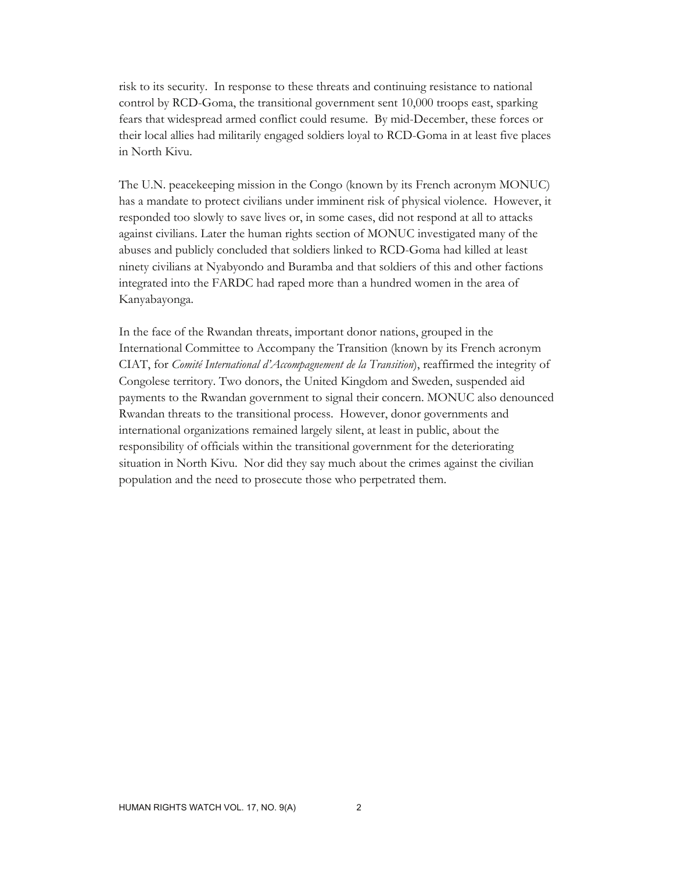risk to its security. In response to these threats and continuing resistance to national control by RCD-Goma, the transitional government sent 10,000 troops east, sparking fears that widespread armed conflict could resume. By mid-December, these forces or their local allies had militarily engaged soldiers loyal to RCD-Goma in at least five places in North Kivu.

The U.N. peacekeeping mission in the Congo (known by its French acronym MONUC) has a mandate to protect civilians under imminent risk of physical violence. However, it responded too slowly to save lives or, in some cases, did not respond at all to attacks against civilians. Later the human rights section of MONUC investigated many of the abuses and publicly concluded that soldiers linked to RCD-Goma had killed at least ninety civilians at Nyabyondo and Buramba and that soldiers of this and other factions integrated into the FARDC had raped more than a hundred women in the area of Kanyabayonga.

In the face of the Rwandan threats, important donor nations, grouped in the International Committee to Accompany the Transition (known by its French acronym CIAT, for *Comité International d'Accompagnement de la Transition*), reaffirmed the integrity of Congolese territory. Two donors, the United Kingdom and Sweden, suspended aid payments to the Rwandan government to signal their concern. MONUC also denounced Rwandan threats to the transitional process. However, donor governments and international organizations remained largely silent, at least in public, about the responsibility of officials within the transitional government for the deteriorating situation in North Kivu. Nor did they say much about the crimes against the civilian population and the need to prosecute those who perpetrated them.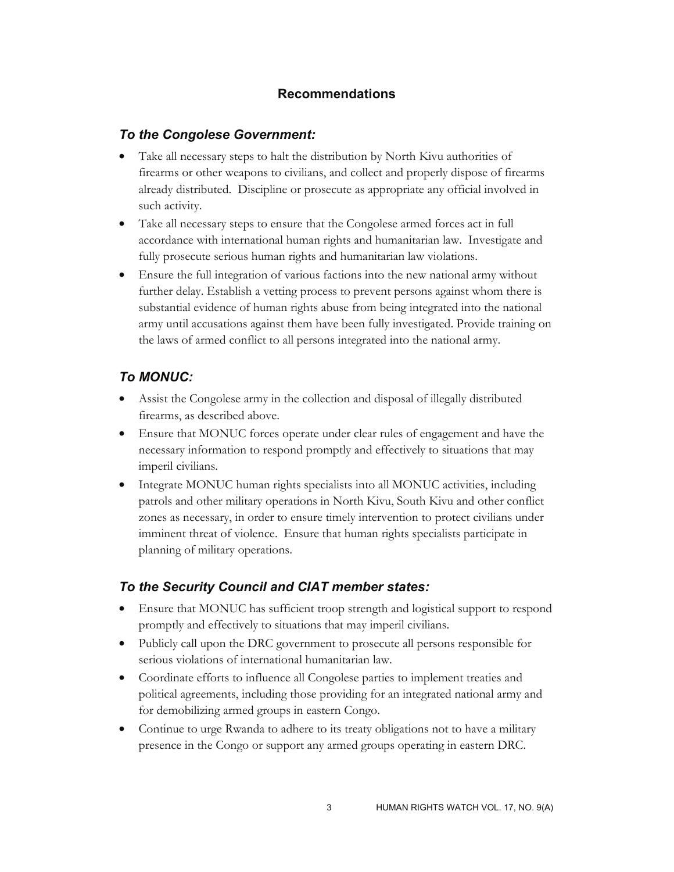# **Recommendations**

# *To the Congolese Government:*

- Take all necessary steps to halt the distribution by North Kivu authorities of firearms or other weapons to civilians, and collect and properly dispose of firearms already distributed. Discipline or prosecute as appropriate any official involved in such activity.
- Take all necessary steps to ensure that the Congolese armed forces act in full accordance with international human rights and humanitarian law. Investigate and fully prosecute serious human rights and humanitarian law violations.
- Ensure the full integration of various factions into the new national army without further delay. Establish a vetting process to prevent persons against whom there is substantial evidence of human rights abuse from being integrated into the national army until accusations against them have been fully investigated. Provide training on the laws of armed conflict to all persons integrated into the national army.

# *To MONUC:*

- Assist the Congolese army in the collection and disposal of illegally distributed firearms, as described above.
- Ensure that MONUC forces operate under clear rules of engagement and have the necessary information to respond promptly and effectively to situations that may imperil civilians.
- Integrate MONUC human rights specialists into all MONUC activities, including patrols and other military operations in North Kivu, South Kivu and other conflict zones as necessary, in order to ensure timely intervention to protect civilians under imminent threat of violence. Ensure that human rights specialists participate in planning of military operations.

# *To the Security Council and CIAT member states:*

- Ensure that MONUC has sufficient troop strength and logistical support to respond promptly and effectively to situations that may imperil civilians.
- Publicly call upon the DRC government to prosecute all persons responsible for serious violations of international humanitarian law.
- Coordinate efforts to influence all Congolese parties to implement treaties and political agreements, including those providing for an integrated national army and for demobilizing armed groups in eastern Congo.
- Continue to urge Rwanda to adhere to its treaty obligations not to have a military presence in the Congo or support any armed groups operating in eastern DRC.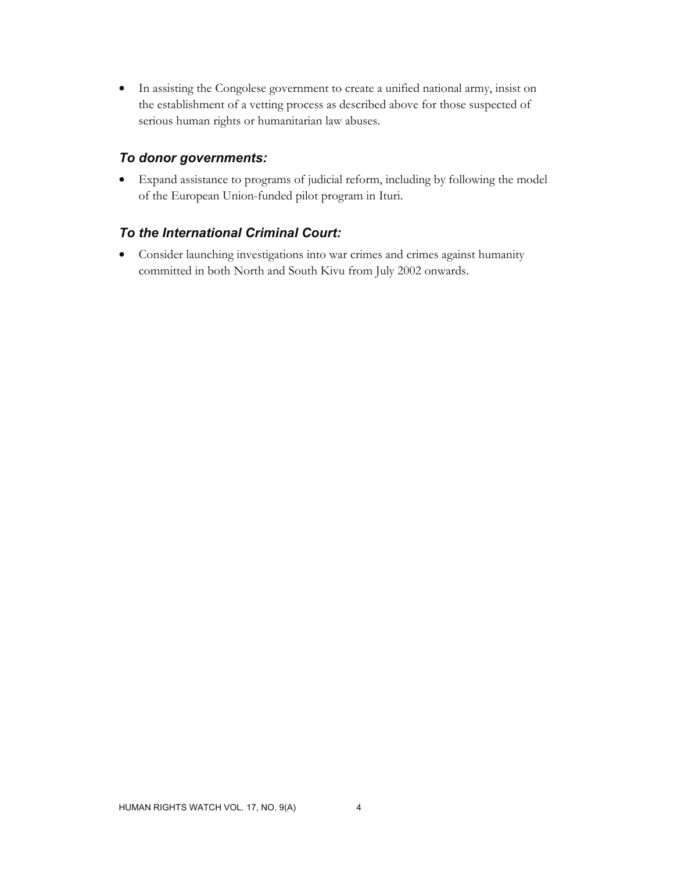• In assisting the Congolese government to create a unified national army, insist on the establishment of a vetting process as described above for those suspected of serious human rights or humanitarian law abuses.

# *To donor governments:*

• Expand assistance to programs of judicial reform, including by following the model of the European Union-funded pilot program in Ituri.

# *To the International Criminal Court:*

• Consider launching investigations into war crimes and crimes against humanity committed in both North and South Kivu from July 2002 onwards.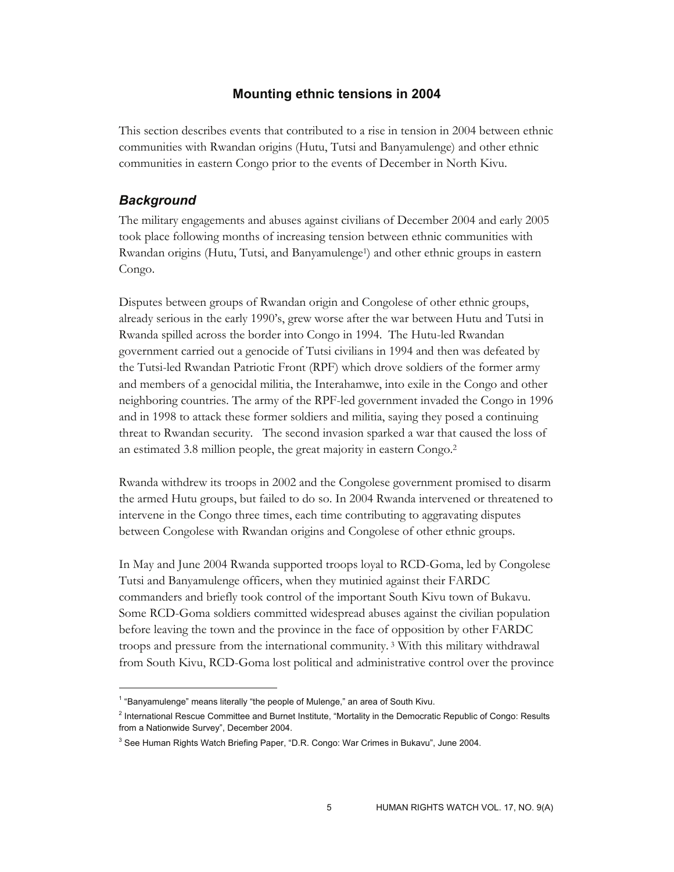# **Mounting ethnic tensions in 2004**

This section describes events that contributed to a rise in tension in 2004 between ethnic communities with Rwandan origins (Hutu, Tutsi and Banyamulenge) and other ethnic communities in eastern Congo prior to the events of December in North Kivu.

## *Background*

-

The military engagements and abuses against civilians of December 2004 and early 2005 took place following months of increasing tension between ethnic communities with Rwandan origins (Hutu, Tutsi, and Banyamulenge<sup>1</sup>) and other ethnic groups in eastern Congo.

Disputes between groups of Rwandan origin and Congolese of other ethnic groups, already serious in the early 1990's, grew worse after the war between Hutu and Tutsi in Rwanda spilled across the border into Congo in 1994. The Hutu-led Rwandan government carried out a genocide of Tutsi civilians in 1994 and then was defeated by the Tutsi-led Rwandan Patriotic Front (RPF) which drove soldiers of the former army and members of a genocidal militia, the Interahamwe, into exile in the Congo and other neighboring countries. The army of the RPF-led government invaded the Congo in 1996 and in 1998 to attack these former soldiers and militia, saying they posed a continuing threat to Rwandan security. The second invasion sparked a war that caused the loss of an estimated 3.8 million people, the great majority in eastern Congo.2

Rwanda withdrew its troops in 2002 and the Congolese government promised to disarm the armed Hutu groups, but failed to do so. In 2004 Rwanda intervened or threatened to intervene in the Congo three times, each time contributing to aggravating disputes between Congolese with Rwandan origins and Congolese of other ethnic groups.

In May and June 2004 Rwanda supported troops loyal to RCD-Goma, led by Congolese Tutsi and Banyamulenge officers, when they mutinied against their FARDC commanders and briefly took control of the important South Kivu town of Bukavu. Some RCD-Goma soldiers committed widespread abuses against the civilian population before leaving the town and the province in the face of opposition by other FARDC troops and pressure from the international community. 3 With this military withdrawal from South Kivu, RCD-Goma lost political and administrative control over the province

<sup>&</sup>lt;sup>1</sup> "Banyamulenge" means literally "the people of Mulenge," an area of South Kivu.

<sup>&</sup>lt;sup>2</sup> International Rescue Committee and Burnet Institute, "Mortality in the Democratic Republic of Congo: Results from a Nationwide Survey", December 2004.

<sup>&</sup>lt;sup>3</sup> See Human Rights Watch Briefing Paper, "D.R. Congo: War Crimes in Bukavu", June 2004.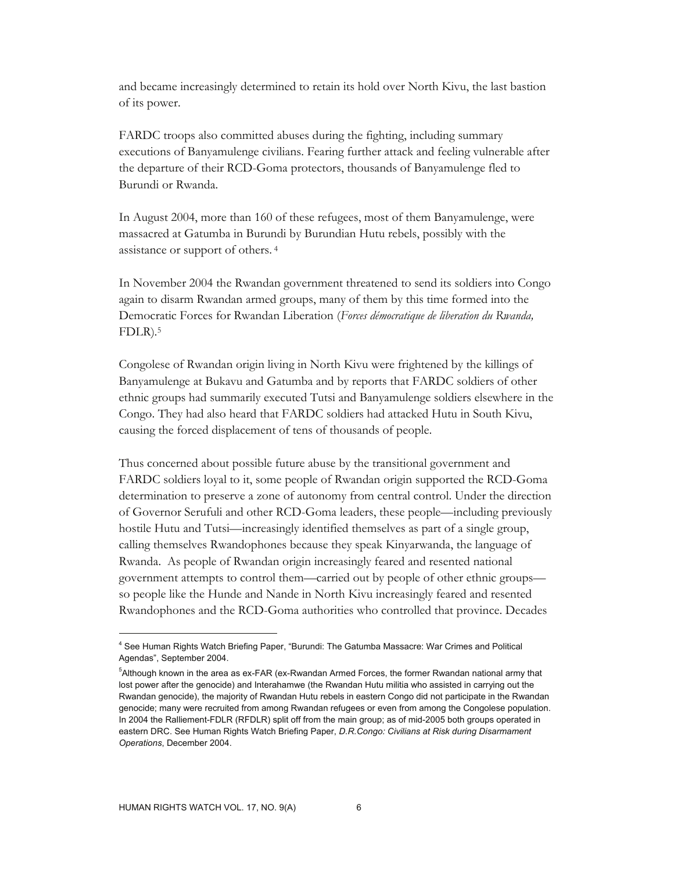and became increasingly determined to retain its hold over North Kivu, the last bastion of its power.

FARDC troops also committed abuses during the fighting, including summary executions of Banyamulenge civilians. Fearing further attack and feeling vulnerable after the departure of their RCD-Goma protectors, thousands of Banyamulenge fled to Burundi or Rwanda.

In August 2004, more than 160 of these refugees, most of them Banyamulenge, were massacred at Gatumba in Burundi by Burundian Hutu rebels, possibly with the assistance or support of others. 4

In November 2004 the Rwandan government threatened to send its soldiers into Congo again to disarm Rwandan armed groups, many of them by this time formed into the Democratic Forces for Rwandan Liberation (*Forces démocratique de liberation du Rwanda,*  FDLR)*.* 5

Congolese of Rwandan origin living in North Kivu were frightened by the killings of Banyamulenge at Bukavu and Gatumba and by reports that FARDC soldiers of other ethnic groups had summarily executed Tutsi and Banyamulenge soldiers elsewhere in the Congo. They had also heard that FARDC soldiers had attacked Hutu in South Kivu, causing the forced displacement of tens of thousands of people.

Thus concerned about possible future abuse by the transitional government and FARDC soldiers loyal to it, some people of Rwandan origin supported the RCD-Goma determination to preserve a zone of autonomy from central control. Under the direction of Governor Serufuli and other RCD-Goma leaders, these people—including previously hostile Hutu and Tutsi—increasingly identified themselves as part of a single group, calling themselves Rwandophones because they speak Kinyarwanda, the language of Rwanda. As people of Rwandan origin increasingly feared and resented national government attempts to control them—carried out by people of other ethnic groups so people like the Hunde and Nande in North Kivu increasingly feared and resented Rwandophones and the RCD-Goma authorities who controlled that province. Decades

<sup>4</sup> See Human Rights Watch Briefing Paper, "Burundi: The Gatumba Massacre: War Crimes and Political Agendas", September 2004.

<sup>5</sup> Although known in the area as ex-FAR (ex-Rwandan Armed Forces, the former Rwandan national army that lost power after the genocide) and Interahamwe (the Rwandan Hutu militia who assisted in carrying out the Rwandan genocide), the majority of Rwandan Hutu rebels in eastern Congo did not participate in the Rwandan genocide; many were recruited from among Rwandan refugees or even from among the Congolese population. In 2004 the Ralliement-FDLR (RFDLR) split off from the main group; as of mid-2005 both groups operated in eastern DRC. See Human Rights Watch Briefing Paper, *D.R.Congo: Civilians at Risk during Disarmament Operations*, December 2004.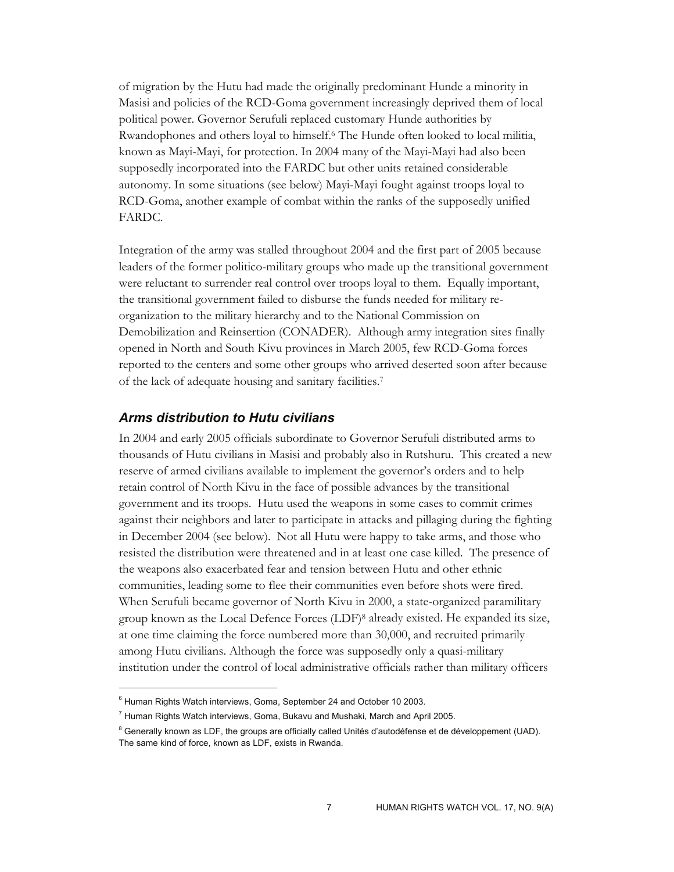of migration by the Hutu had made the originally predominant Hunde a minority in Masisi and policies of the RCD-Goma government increasingly deprived them of local political power. Governor Serufuli replaced customary Hunde authorities by Rwandophones and others loyal to himself.6 The Hunde often looked to local militia, known as Mayi-Mayi, for protection. In 2004 many of the Mayi-Mayi had also been supposedly incorporated into the FARDC but other units retained considerable autonomy. In some situations (see below) Mayi-Mayi fought against troops loyal to RCD-Goma, another example of combat within the ranks of the supposedly unified FARDC.

Integration of the army was stalled throughout 2004 and the first part of 2005 because leaders of the former politico-military groups who made up the transitional government were reluctant to surrender real control over troops loyal to them. Equally important, the transitional government failed to disburse the funds needed for military reorganization to the military hierarchy and to the National Commission on Demobilization and Reinsertion (CONADER). Although army integration sites finally opened in North and South Kivu provinces in March 2005, few RCD-Goma forces reported to the centers and some other groups who arrived deserted soon after because of the lack of adequate housing and sanitary facilities.7

#### *Arms distribution to Hutu civilians*

In 2004 and early 2005 officials subordinate to Governor Serufuli distributed arms to thousands of Hutu civilians in Masisi and probably also in Rutshuru. This created a new reserve of armed civilians available to implement the governor's orders and to help retain control of North Kivu in the face of possible advances by the transitional government and its troops. Hutu used the weapons in some cases to commit crimes against their neighbors and later to participate in attacks and pillaging during the fighting in December 2004 (see below). Not all Hutu were happy to take arms, and those who resisted the distribution were threatened and in at least one case killed. The presence of the weapons also exacerbated fear and tension between Hutu and other ethnic communities, leading some to flee their communities even before shots were fired. When Serufuli became governor of North Kivu in 2000, a state-organized paramilitary group known as the Local Defence Forces (LDF)8 already existed. He expanded its size, at one time claiming the force numbered more than 30,000, and recruited primarily among Hutu civilians. Although the force was supposedly only a quasi-military institution under the control of local administrative officials rather than military officers

<sup>&</sup>lt;sup>6</sup> Human Rights Watch interviews, Goma, September 24 and October 10 2003.

 $^7$  Human Rights Watch interviews, Goma, Bukavu and Mushaki, March and April 2005.

<sup>&</sup>lt;sup>8</sup> Generally known as LDF, the groups are officially called Unités d'autodéfense et de développement (UAD). The same kind of force, known as LDF, exists in Rwanda.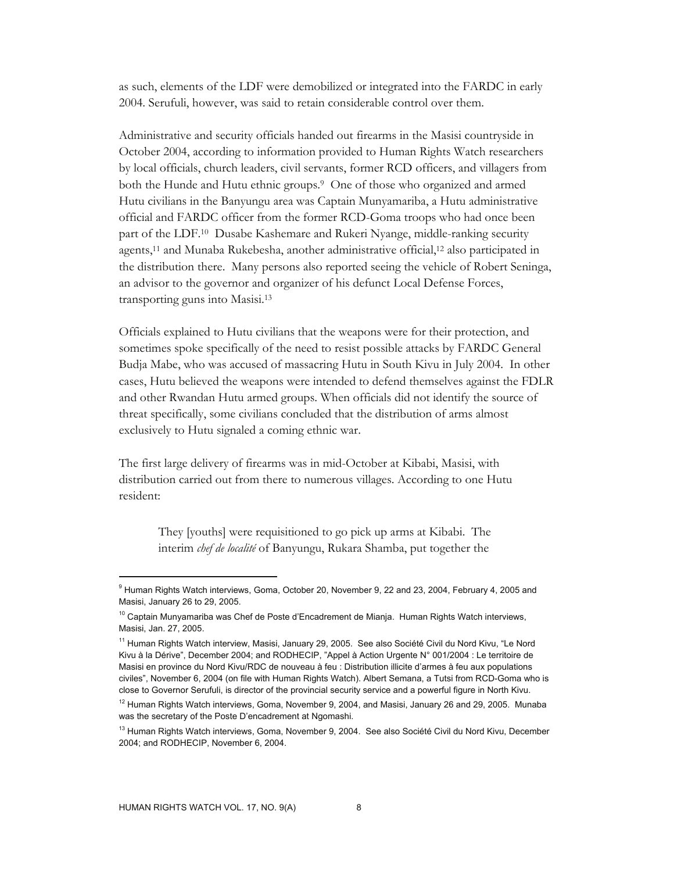as such, elements of the LDF were demobilized or integrated into the FARDC in early 2004. Serufuli, however, was said to retain considerable control over them.

Administrative and security officials handed out firearms in the Masisi countryside in October 2004, according to information provided to Human Rights Watch researchers by local officials, church leaders, civil servants, former RCD officers, and villagers from both the Hunde and Hutu ethnic groups.9 One of those who organized and armed Hutu civilians in the Banyungu area was Captain Munyamariba, a Hutu administrative official and FARDC officer from the former RCD-Goma troops who had once been part of the LDF.10 Dusabe Kashemare and Rukeri Nyange, middle-ranking security agents,11 and Munaba Rukebesha, another administrative official,12 also participated in the distribution there. Many persons also reported seeing the vehicle of Robert Seninga, an advisor to the governor and organizer of his defunct Local Defense Forces, transporting guns into Masisi.13

Officials explained to Hutu civilians that the weapons were for their protection, and sometimes spoke specifically of the need to resist possible attacks by FARDC General Budja Mabe, who was accused of massacring Hutu in South Kivu in July 2004. In other cases, Hutu believed the weapons were intended to defend themselves against the FDLR and other Rwandan Hutu armed groups. When officials did not identify the source of threat specifically, some civilians concluded that the distribution of arms almost exclusively to Hutu signaled a coming ethnic war.

The first large delivery of firearms was in mid-October at Kibabi, Masisi, with distribution carried out from there to numerous villages. According to one Hutu resident:

They [youths] were requisitioned to go pick up arms at Kibabi. The interim *chef de localité* of Banyungu, Rukara Shamba, put together the

<sup>&</sup>lt;sup>9</sup> Human Rights Watch interviews, Goma, October 20, November 9, 22 and 23, 2004, February 4, 2005 and Masisi, January 26 to 29, 2005.

<sup>&</sup>lt;sup>10</sup> Captain Munyamariba was Chef de Poste d'Encadrement de Mianja. Human Rights Watch interviews, Masisi, Jan. 27, 2005.

<sup>&</sup>lt;sup>11</sup> Human Rights Watch interview, Masisi, January 29, 2005. See also Société Civil du Nord Kivu, "Le Nord Kivu à la Dérive", December 2004; and RODHECIP, "Appel à Action Urgente N° 001/2004 : Le territoire de Masisi en province du Nord Kivu/RDC de nouveau à feu : Distribution illicite d'armes à feu aux populations civiles", November 6, 2004 (on file with Human Rights Watch). Albert Semana, a Tutsi from RCD-Goma who is close to Governor Serufuli, is director of the provincial security service and a powerful figure in North Kivu.

 $12$  Human Rights Watch interviews, Goma, November 9, 2004, and Masisi, January 26 and 29, 2005. Munaba was the secretary of the Poste D'encadrement at Ngomashi.

<sup>&</sup>lt;sup>13</sup> Human Rights Watch interviews, Goma, November 9, 2004. See also Société Civil du Nord Kivu, December 2004; and RODHECIP, November 6, 2004.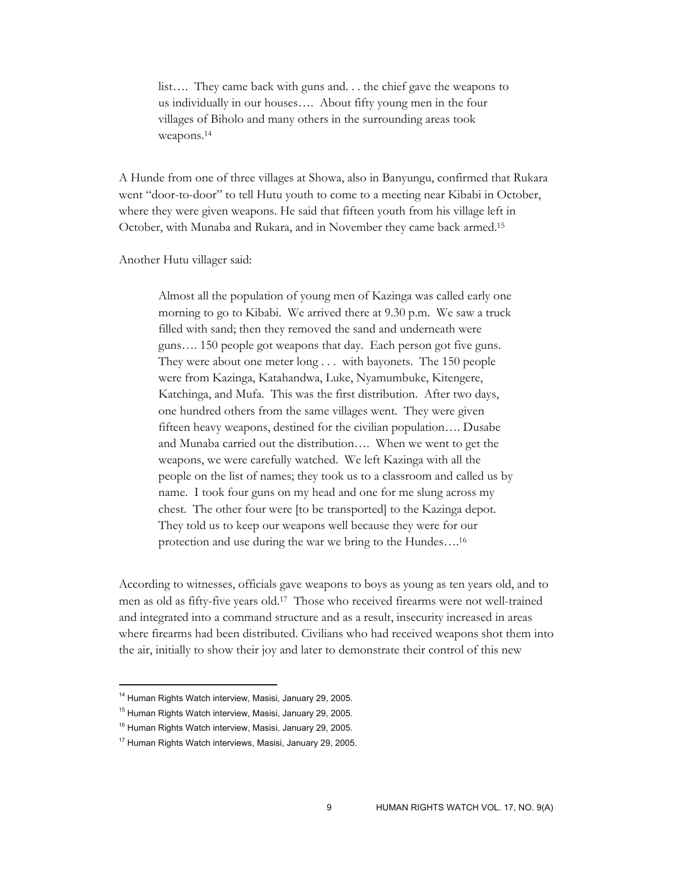list…. They came back with guns and. . . the chief gave the weapons to us individually in our houses…. About fifty young men in the four villages of Biholo and many others in the surrounding areas took weapons.14

A Hunde from one of three villages at Showa, also in Banyungu, confirmed that Rukara went "door-to-door" to tell Hutu youth to come to a meeting near Kibabi in October, where they were given weapons. He said that fifteen youth from his village left in October, with Munaba and Rukara, and in November they came back armed.15

Another Hutu villager said:

Almost all the population of young men of Kazinga was called early one morning to go to Kibabi. We arrived there at 9.30 p.m. We saw a truck filled with sand; then they removed the sand and underneath were guns…. 150 people got weapons that day. Each person got five guns. They were about one meter long . . . with bayonets. The 150 people were from Kazinga, Katahandwa, Luke, Nyamumbuke, Kitengere, Katchinga, and Mufa. This was the first distribution. After two days, one hundred others from the same villages went. They were given fifteen heavy weapons, destined for the civilian population…. Dusabe and Munaba carried out the distribution…. When we went to get the weapons, we were carefully watched. We left Kazinga with all the people on the list of names; they took us to a classroom and called us by name. I took four guns on my head and one for me slung across my chest. The other four were [to be transported] to the Kazinga depot. They told us to keep our weapons well because they were for our protection and use during the war we bring to the Hundes….16

According to witnesses, officials gave weapons to boys as young as ten years old, and to men as old as fifty-five years old.17 Those who received firearms were not well-trained and integrated into a command structure and as a result, insecurity increased in areas where firearms had been distributed. Civilians who had received weapons shot them into the air, initially to show their joy and later to demonstrate their control of this new

<sup>&</sup>lt;sup>14</sup> Human Rights Watch interview, Masisi, January 29, 2005.

<sup>&</sup>lt;sup>15</sup> Human Rights Watch interview, Masisi, January 29, 2005.

<sup>&</sup>lt;sup>16</sup> Human Rights Watch interview, Masisi, January 29, 2005.

<sup>&</sup>lt;sup>17</sup> Human Rights Watch interviews, Masisi, January 29, 2005.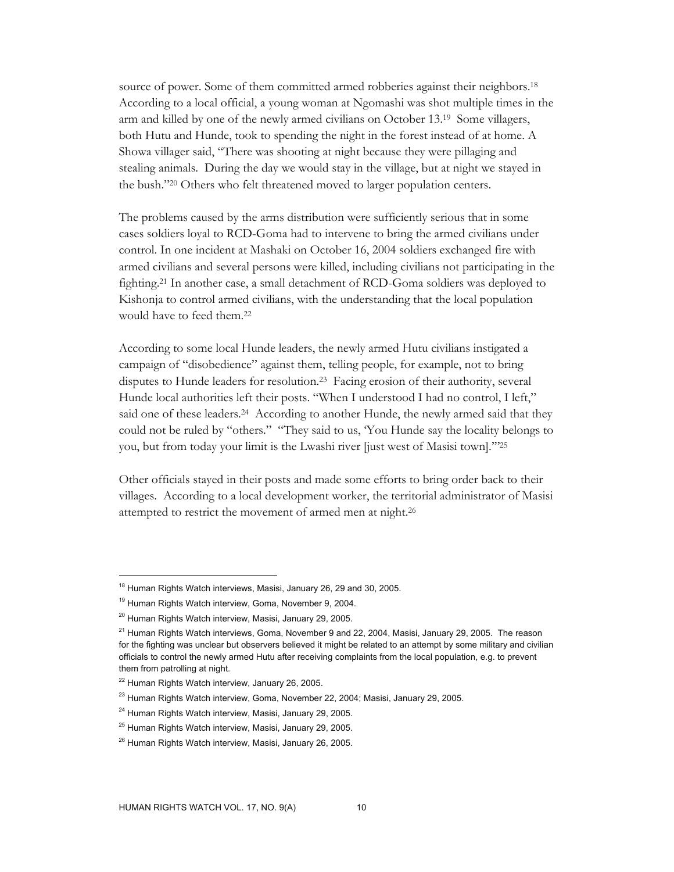source of power. Some of them committed armed robberies against their neighbors.<sup>18</sup> According to a local official, a young woman at Ngomashi was shot multiple times in the arm and killed by one of the newly armed civilians on October 13.19 Some villagers, both Hutu and Hunde, took to spending the night in the forest instead of at home. A Showa villager said, "There was shooting at night because they were pillaging and stealing animals. During the day we would stay in the village, but at night we stayed in the bush."20 Others who felt threatened moved to larger population centers.

The problems caused by the arms distribution were sufficiently serious that in some cases soldiers loyal to RCD-Goma had to intervene to bring the armed civilians under control. In one incident at Mashaki on October 16, 2004 soldiers exchanged fire with armed civilians and several persons were killed, including civilians not participating in the fighting.21 In another case, a small detachment of RCD-Goma soldiers was deployed to Kishonja to control armed civilians, with the understanding that the local population would have to feed them.22

According to some local Hunde leaders, the newly armed Hutu civilians instigated a campaign of "disobedience" against them, telling people, for example, not to bring disputes to Hunde leaders for resolution.23 Facing erosion of their authority, several Hunde local authorities left their posts. "When I understood I had no control, I left," said one of these leaders.<sup>24</sup> According to another Hunde, the newly armed said that they could not be ruled by "others." "They said to us, 'You Hunde say the locality belongs to you, but from today your limit is the Lwashi river [just west of Masisi town].'"25

Other officials stayed in their posts and made some efforts to bring order back to their villages. According to a local development worker, the territorial administrator of Masisi attempted to restrict the movement of armed men at night.26

<sup>&</sup>lt;sup>18</sup> Human Rights Watch interviews, Masisi, January 26, 29 and 30, 2005.

<sup>&</sup>lt;sup>19</sup> Human Rights Watch interview, Goma, November 9, 2004.

<sup>20</sup> Human Rights Watch interview, Masisi, January 29, 2005.

 $21$  Human Rights Watch interviews, Goma, November 9 and 22, 2004, Masisi, January 29, 2005. The reason for the fighting was unclear but observers believed it might be related to an attempt by some military and civilian officials to control the newly armed Hutu after receiving complaints from the local population, e.g. to prevent them from patrolling at night.

<sup>&</sup>lt;sup>22</sup> Human Rights Watch interview, January 26, 2005.

<sup>&</sup>lt;sup>23</sup> Human Rights Watch interview, Goma, November 22, 2004; Masisi, January 29, 2005.

<sup>&</sup>lt;sup>24</sup> Human Rights Watch interview, Masisi, January 29, 2005.

<sup>25</sup> Human Rights Watch interview, Masisi, January 29, 2005.

<sup>&</sup>lt;sup>26</sup> Human Rights Watch interview, Masisi, January 26, 2005.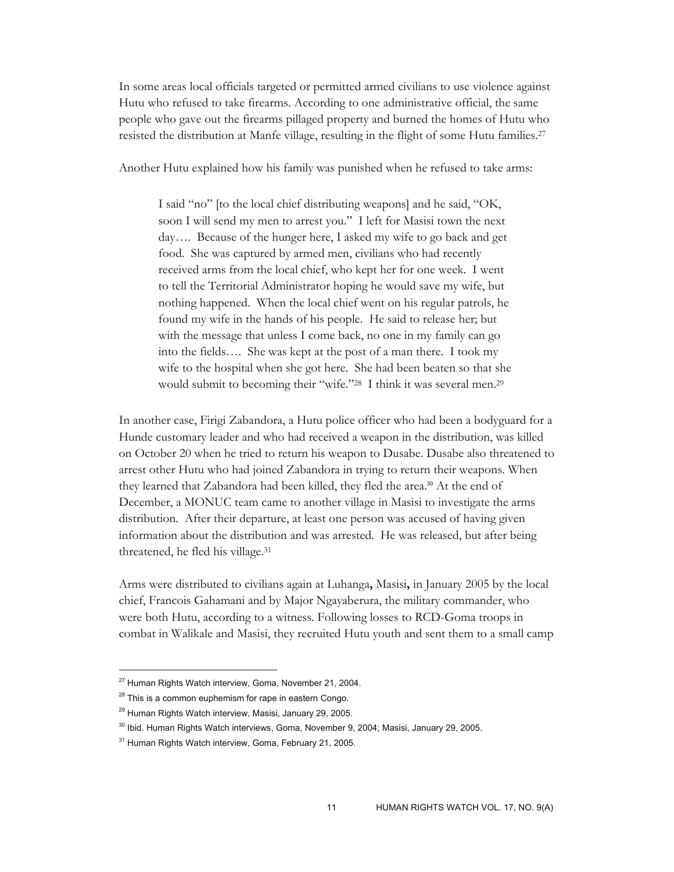In some areas local officials targeted or permitted armed civilians to use violence against Hutu who refused to take firearms. According to one administrative official, the same people who gave out the firearms pillaged property and burned the homes of Hutu who resisted the distribution at Manfe village, resulting in the flight of some Hutu families.27

Another Hutu explained how his family was punished when he refused to take arms:

I said "no" [to the local chief distributing weapons] and he said, "OK, soon I will send my men to arrest you." I left for Masisi town the next day…. Because of the hunger here, I asked my wife to go back and get food. She was captured by armed men, civilians who had recently received arms from the local chief, who kept her for one week. I went to tell the Territorial Administrator hoping he would save my wife, but nothing happened. When the local chief went on his regular patrols, he found my wife in the hands of his people. He said to release her; but with the message that unless I come back, no one in my family can go into the fields…. She was kept at the post of a man there. I took my wife to the hospital when she got here. She had been beaten so that she would submit to becoming their "wife."28 I think it was several men.29

In another case, Firigi Zabandora, a Hutu police officer who had been a bodyguard for a Hunde customary leader and who had received a weapon in the distribution, was killed on October 20 when he tried to return his weapon to Dusabe. Dusabe also threatened to arrest other Hutu who had joined Zabandora in trying to return their weapons. When they learned that Zabandora had been killed, they fled the area.30 At the end of December, a MONUC team came to another village in Masisi to investigate the arms distribution. After their departure, at least one person was accused of having given information about the distribution and was arrested. He was released, but after being threatened, he fled his village.31

Arms were distributed to civilians again at Luhanga**,** Masisi**,** in January 2005 by the local chief, Francois Gahamani and by Major Ngayaberura, the military commander, who were both Hutu, according to a witness. Following losses to RCD-Goma troops in combat in Walikale and Masisi, they recruited Hutu youth and sent them to a small camp

<sup>&</sup>lt;sup>27</sup> Human Rights Watch interview, Goma, November 21, 2004.

<sup>&</sup>lt;sup>28</sup> This is a common euphemism for rape in eastern Congo.

<sup>&</sup>lt;sup>29</sup> Human Rights Watch interview, Masisi, January 29, 2005.

<sup>&</sup>lt;sup>30</sup> Ibid. Human Rights Watch interviews, Goma, November 9, 2004; Masisi, January 29, 2005.

<sup>&</sup>lt;sup>31</sup> Human Rights Watch interview, Goma, February 21, 2005.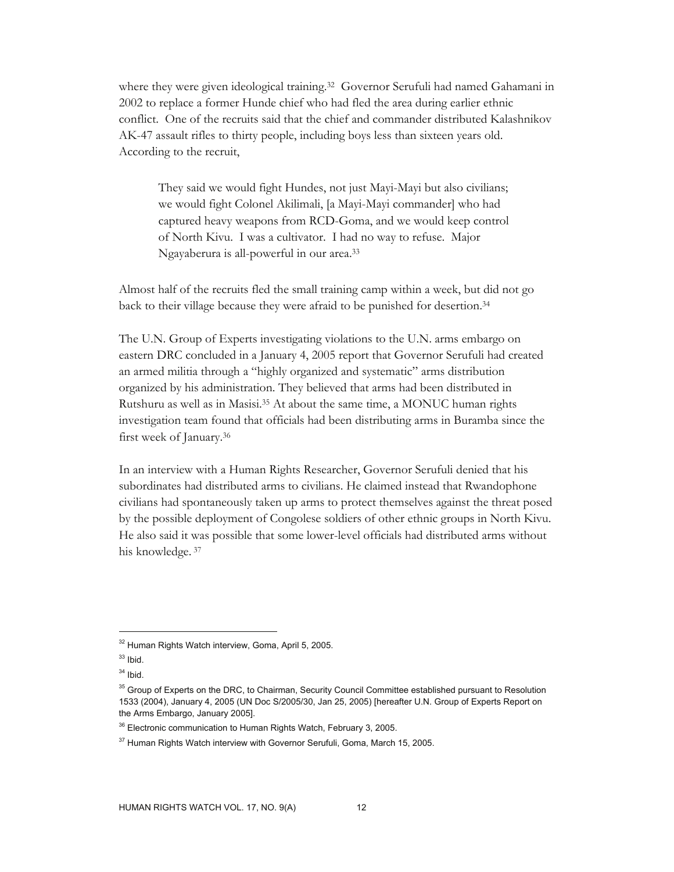where they were given ideological training.32 Governor Serufuli had named Gahamani in 2002 to replace a former Hunde chief who had fled the area during earlier ethnic conflict. One of the recruits said that the chief and commander distributed Kalashnikov AK-47 assault rifles to thirty people, including boys less than sixteen years old. According to the recruit,

They said we would fight Hundes, not just Mayi-Mayi but also civilians; we would fight Colonel Akilimali, [a Mayi-Mayi commander] who had captured heavy weapons from RCD-Goma, and we would keep control of North Kivu. I was a cultivator. I had no way to refuse. Major Ngayaberura is all-powerful in our area.33

Almost half of the recruits fled the small training camp within a week, but did not go back to their village because they were afraid to be punished for desertion.34

The U.N. Group of Experts investigating violations to the U.N. arms embargo on eastern DRC concluded in a January 4, 2005 report that Governor Serufuli had created an armed militia through a "highly organized and systematic" arms distribution organized by his administration. They believed that arms had been distributed in Rutshuru as well as in Masisi.35 At about the same time, a MONUC human rights investigation team found that officials had been distributing arms in Buramba since the first week of January.36

In an interview with a Human Rights Researcher, Governor Serufuli denied that his subordinates had distributed arms to civilians. He claimed instead that Rwandophone civilians had spontaneously taken up arms to protect themselves against the threat posed by the possible deployment of Congolese soldiers of other ethnic groups in North Kivu. He also said it was possible that some lower-level officials had distributed arms without his knowledge. 37

<sup>32</sup> Human Rights Watch interview, Goma, April 5, 2005.

 $33$  Ibid.

 $34$  Ibid.

 $35$  Group of Experts on the DRC, to Chairman, Security Council Committee established pursuant to Resolution 1533 (2004), January 4, 2005 (UN Doc S/2005/30, Jan 25, 2005) [hereafter U.N. Group of Experts Report on the Arms Embargo, January 2005].

<sup>&</sup>lt;sup>36</sup> Electronic communication to Human Rights Watch, February 3, 2005.

<sup>&</sup>lt;sup>37</sup> Human Rights Watch interview with Governor Serufuli, Goma, March 15, 2005.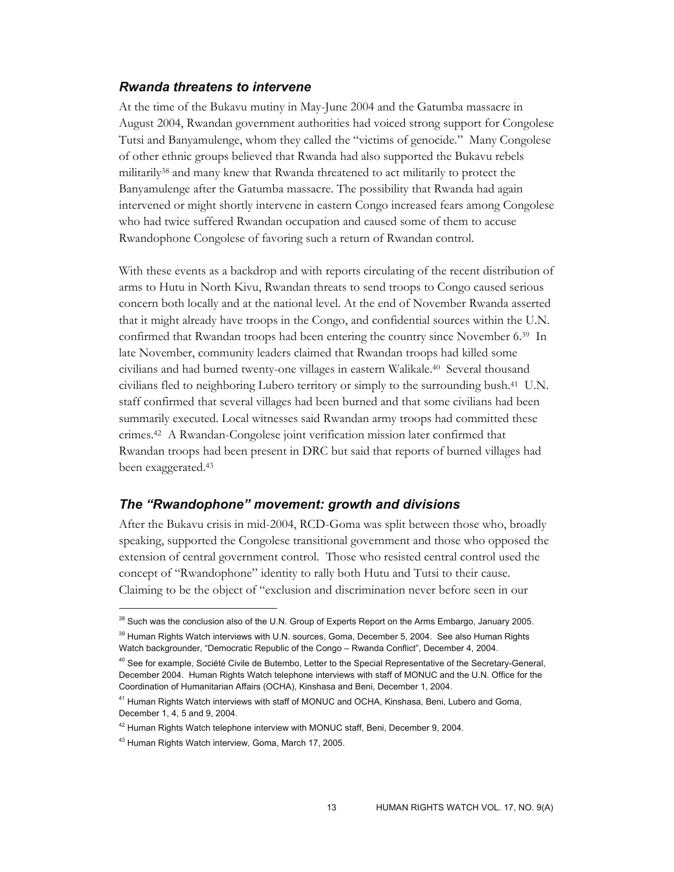## *Rwanda threatens to intervene*

At the time of the Bukavu mutiny in May-June 2004 and the Gatumba massacre in August 2004, Rwandan government authorities had voiced strong support for Congolese Tutsi and Banyamulenge, whom they called the "victims of genocide." Many Congolese of other ethnic groups believed that Rwanda had also supported the Bukavu rebels militarily<sup>38</sup> and many knew that Rwanda threatened to act militarily to protect the Banyamulenge after the Gatumba massacre. The possibility that Rwanda had again intervened or might shortly intervene in eastern Congo increased fears among Congolese who had twice suffered Rwandan occupation and caused some of them to accuse Rwandophone Congolese of favoring such a return of Rwandan control.

With these events as a backdrop and with reports circulating of the recent distribution of arms to Hutu in North Kivu, Rwandan threats to send troops to Congo caused serious concern both locally and at the national level. At the end of November Rwanda asserted that it might already have troops in the Congo, and confidential sources within the U.N. confirmed that Rwandan troops had been entering the country since November 6.39 In late November, community leaders claimed that Rwandan troops had killed some civilians and had burned twenty-one villages in eastern Walikale.40 Several thousand civilians fled to neighboring Lubero territory or simply to the surrounding bush.41 U.N. staff confirmed that several villages had been burned and that some civilians had been summarily executed. Local witnesses said Rwandan army troops had committed these crimes.42 A Rwandan-Congolese joint verification mission later confirmed that Rwandan troops had been present in DRC but said that reports of burned villages had been exaggerated.43

## *The "Rwandophone" movement: growth and divisions*

After the Bukavu crisis in mid-2004, RCD-Goma was split between those who, broadly speaking, supported the Congolese transitional government and those who opposed the extension of central government control. Those who resisted central control used the concept of "Rwandophone" identity to rally both Hutu and Tutsi to their cause. Claiming to be the object of "exclusion and discrimination never before seen in our

<sup>&</sup>lt;sup>38</sup> Such was the conclusion also of the U.N. Group of Experts Report on the Arms Embargo, January 2005. <sup>39</sup> Human Rights Watch interviews with U.N. sources, Goma, December 5, 2004. See also Human Rights Watch backgrounder, "Democratic Republic of the Congo – Rwanda Conflict", December 4, 2004.

<sup>&</sup>lt;sup>40</sup> See for example, Société Civile de Butembo, Letter to the Special Representative of the Secretary-General, December 2004. Human Rights Watch telephone interviews with staff of MONUC and the U.N. Office for the Coordination of Humanitarian Affairs (OCHA), Kinshasa and Beni, December 1, 2004.

<sup>&</sup>lt;sup>41</sup> Human Rights Watch interviews with staff of MONUC and OCHA, Kinshasa, Beni, Lubero and Goma, December 1, 4, 5 and 9, 2004.

 $42$  Human Rights Watch telephone interview with MONUC staff, Beni, December 9, 2004.

<sup>43</sup> Human Rights Watch interview, Goma, March 17, 2005.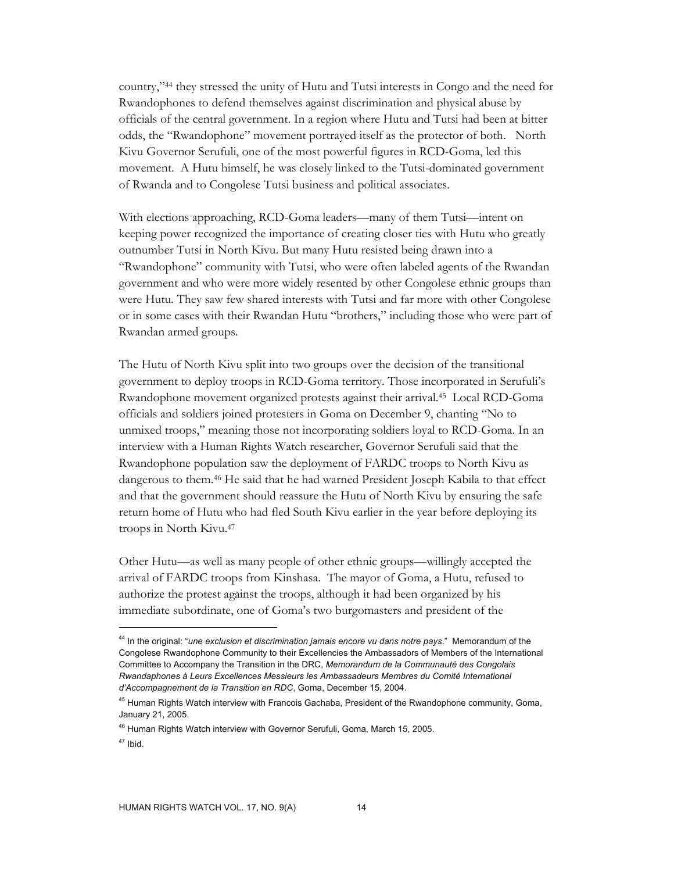country,"44 they stressed the unity of Hutu and Tutsi interests in Congo and the need for Rwandophones to defend themselves against discrimination and physical abuse by officials of the central government. In a region where Hutu and Tutsi had been at bitter odds, the "Rwandophone" movement portrayed itself as the protector of both. North Kivu Governor Serufuli, one of the most powerful figures in RCD-Goma, led this movement. A Hutu himself, he was closely linked to the Tutsi-dominated government of Rwanda and to Congolese Tutsi business and political associates.

With elections approaching, RCD-Goma leaders—many of them Tutsi—intent on keeping power recognized the importance of creating closer ties with Hutu who greatly outnumber Tutsi in North Kivu. But many Hutu resisted being drawn into a "Rwandophone" community with Tutsi, who were often labeled agents of the Rwandan government and who were more widely resented by other Congolese ethnic groups than were Hutu. They saw few shared interests with Tutsi and far more with other Congolese or in some cases with their Rwandan Hutu "brothers," including those who were part of Rwandan armed groups.

The Hutu of North Kivu split into two groups over the decision of the transitional government to deploy troops in RCD-Goma territory. Those incorporated in Serufuli's Rwandophone movement organized protests against their arrival.45 Local RCD-Goma officials and soldiers joined protesters in Goma on December 9, chanting "No to unmixed troops," meaning those not incorporating soldiers loyal to RCD-Goma. In an interview with a Human Rights Watch researcher, Governor Serufuli said that the Rwandophone population saw the deployment of FARDC troops to North Kivu as dangerous to them.46 He said that he had warned President Joseph Kabila to that effect and that the government should reassure the Hutu of North Kivu by ensuring the safe return home of Hutu who had fled South Kivu earlier in the year before deploying its troops in North Kivu.47

Other Hutu—as well as many people of other ethnic groups—willingly accepted the arrival of FARDC troops from Kinshasa. The mayor of Goma, a Hutu, refused to authorize the protest against the troops, although it had been organized by his immediate subordinate, one of Goma's two burgomasters and president of the

<sup>44</sup> In the original: "*une exclusion et discrimination jamais encore vu dans notre pays*." Memorandum of the Congolese Rwandophone Community to their Excellencies the Ambassadors of Members of the International Committee to Accompany the Transition in the DRC, *Memorandum de la Communauté des Congolais Rwandaphones à Leurs Excellences Messieurs les Ambassadeurs Membres du Comité International d'Accompagnement de la Transition en RDC*, Goma, December 15, 2004.

<sup>&</sup>lt;sup>45</sup> Human Rights Watch interview with Francois Gachaba, President of the Rwandophone community, Goma, January 21, 2005.

<sup>&</sup>lt;sup>46</sup> Human Rights Watch interview with Governor Serufuli, Goma, March 15, 2005.

 $47$  Ibid.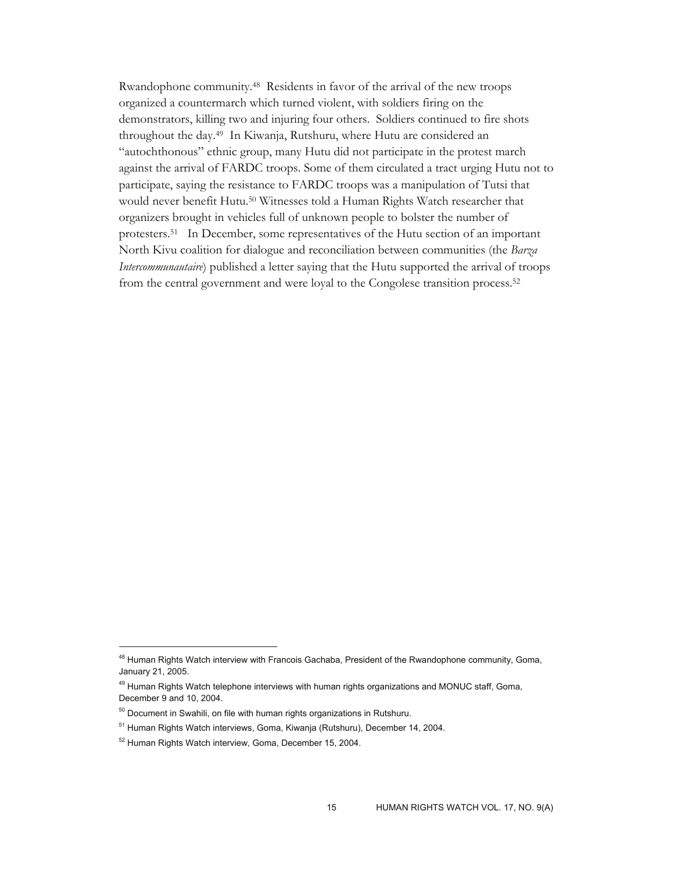Rwandophone community.48 Residents in favor of the arrival of the new troops organized a countermarch which turned violent, with soldiers firing on the demonstrators, killing two and injuring four others. Soldiers continued to fire shots throughout the day.49 In Kiwanja, Rutshuru, where Hutu are considered an "autochthonous" ethnic group, many Hutu did not participate in the protest march against the arrival of FARDC troops. Some of them circulated a tract urging Hutu not to participate, saying the resistance to FARDC troops was a manipulation of Tutsi that would never benefit Hutu.50 Witnesses told a Human Rights Watch researcher that organizers brought in vehicles full of unknown people to bolster the number of protesters.51 In December, some representatives of the Hutu section of an important North Kivu coalition for dialogue and reconciliation between communities (the *Barza Intercommunautaire*) published a letter saying that the Hutu supported the arrival of troops from the central government and were loyal to the Congolese transition process.52

<sup>&</sup>lt;sup>48</sup> Human Rights Watch interview with Francois Gachaba, President of the Rwandophone community, Goma, January 21, 2005.

<sup>&</sup>lt;sup>49</sup> Human Rights Watch telephone interviews with human rights organizations and MONUC staff, Goma, December 9 and 10, 2004.

 $50$  Document in Swahili, on file with human rights organizations in Rutshuru.

<sup>51</sup> Human Rights Watch interviews, Goma, Kiwanja (Rutshuru), December 14, 2004.

<sup>52</sup> Human Rights Watch interview, Goma, December 15, 2004.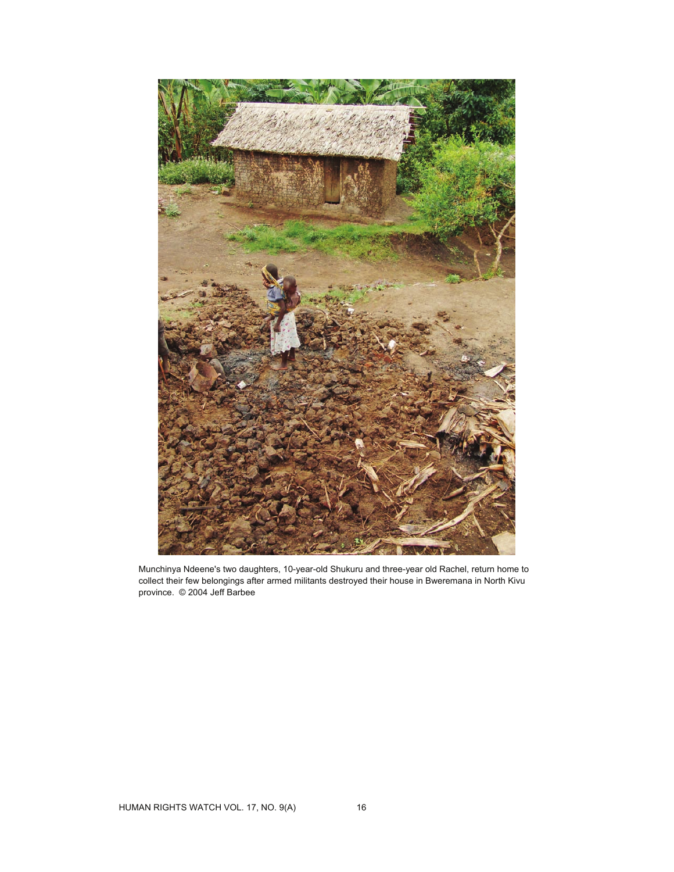

Munchinya Ndeene's two daughters, 10-year-old Shukuru and three-year old Rachel, return home to collect their few belongings after armed militants destroyed their house in Bweremana in North Kivu province. © 2004 Jeff Barbee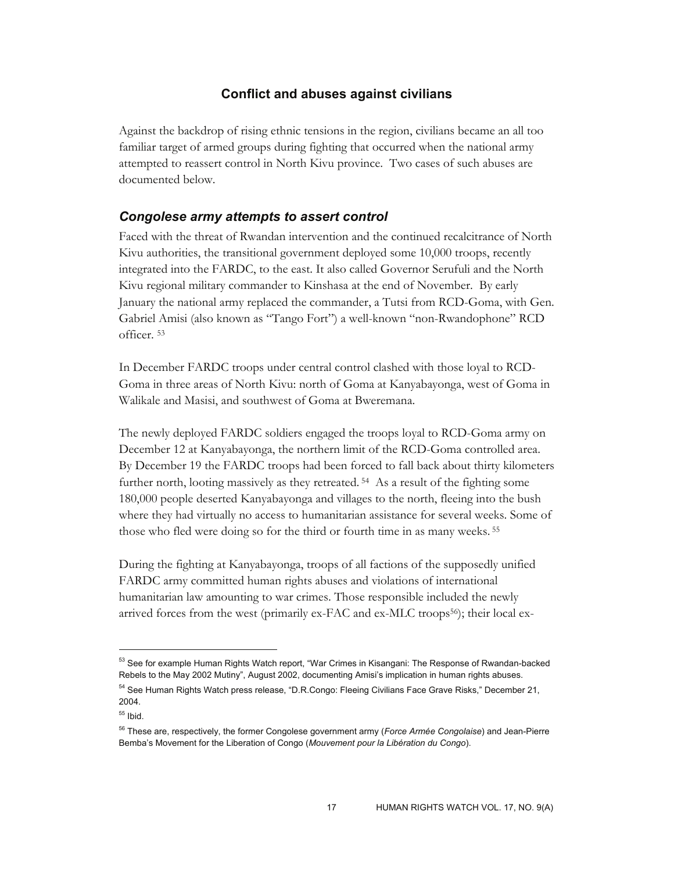# **Conflict and abuses against civilians**

Against the backdrop of rising ethnic tensions in the region, civilians became an all too familiar target of armed groups during fighting that occurred when the national army attempted to reassert control in North Kivu province. Two cases of such abuses are documented below.

# *Congolese army attempts to assert control*

Faced with the threat of Rwandan intervention and the continued recalcitrance of North Kivu authorities, the transitional government deployed some 10,000 troops, recently integrated into the FARDC, to the east. It also called Governor Serufuli and the North Kivu regional military commander to Kinshasa at the end of November. By early January the national army replaced the commander, a Tutsi from RCD-Goma, with Gen. Gabriel Amisi (also known as "Tango Fort") a well-known "non-Rwandophone" RCD officer. 53

In December FARDC troops under central control clashed with those loyal to RCD-Goma in three areas of North Kivu: north of Goma at Kanyabayonga, west of Goma in Walikale and Masisi, and southwest of Goma at Bweremana.

The newly deployed FARDC soldiers engaged the troops loyal to RCD-Goma army on December 12 at Kanyabayonga, the northern limit of the RCD-Goma controlled area. By December 19 the FARDC troops had been forced to fall back about thirty kilometers further north, looting massively as they retreated. 54 As a result of the fighting some 180,000 people deserted Kanyabayonga and villages to the north, fleeing into the bush where they had virtually no access to humanitarian assistance for several weeks. Some of those who fled were doing so for the third or fourth time in as many weeks. 55

During the fighting at Kanyabayonga, troops of all factions of the supposedly unified FARDC army committed human rights abuses and violations of international humanitarian law amounting to war crimes. Those responsible included the newly arrived forces from the west (primarily  $ex$ -FAC and  $ex$ -MLC troops<sup>56</sup>); their local ex-

<sup>&</sup>lt;sup>53</sup> See for example Human Rights Watch report, "War Crimes in Kisangani: The Response of Rwandan-backed Rebels to the May 2002 Mutiny", August 2002, documenting Amisi's implication in human rights abuses.

<sup>54</sup> See Human Rights Watch press release, "D.R.Congo: Fleeing Civilians Face Grave Risks," December 21, 2004.

 $55$  Ibid.

<sup>56</sup> These are, respectively, the former Congolese government army (*Force Armée Congolaise*) and Jean-Pierre Bemba's Movement for the Liberation of Congo (*Mouvement pour la Libération du Congo*).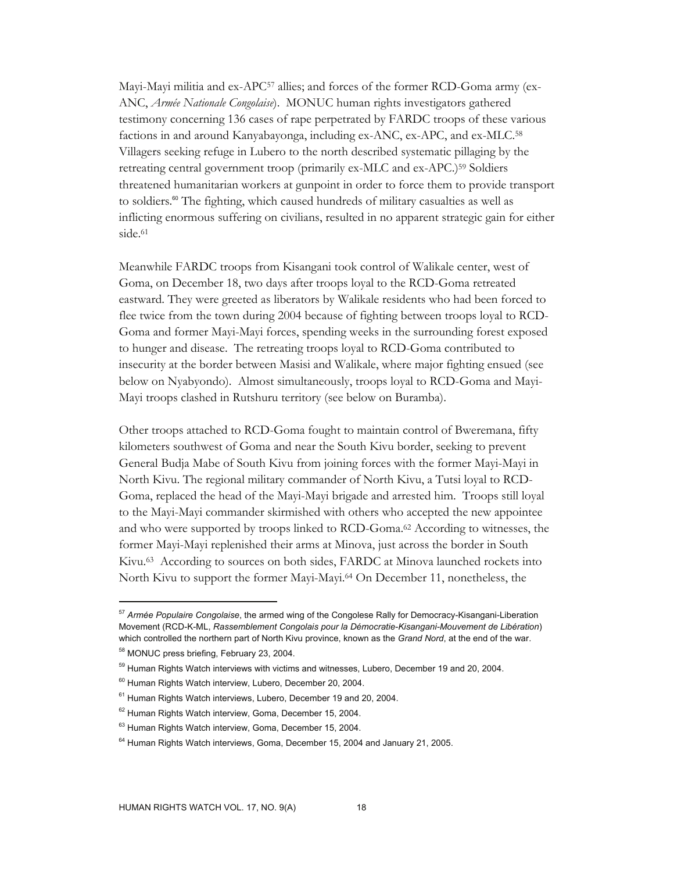Mayi-Mayi militia and ex-APC57 allies; and forces of the former RCD-Goma army (ex-ANC, *Armée Nationale Congolaise*). MONUC human rights investigators gathered testimony concerning 136 cases of rape perpetrated by FARDC troops of these various factions in and around Kanyabayonga, including ex-ANC, ex-APC, and ex-MLC.58 Villagers seeking refuge in Lubero to the north described systematic pillaging by the retreating central government troop (primarily ex-MLC and ex-APC.)59 Soldiers threatened humanitarian workers at gunpoint in order to force them to provide transport to soldiers.<sup>60</sup> The fighting, which caused hundreds of military casualties as well as inflicting enormous suffering on civilians, resulted in no apparent strategic gain for either side.<sup>61</sup>

Meanwhile FARDC troops from Kisangani took control of Walikale center, west of Goma, on December 18, two days after troops loyal to the RCD-Goma retreated eastward. They were greeted as liberators by Walikale residents who had been forced to flee twice from the town during 2004 because of fighting between troops loyal to RCD-Goma and former Mayi-Mayi forces, spending weeks in the surrounding forest exposed to hunger and disease. The retreating troops loyal to RCD-Goma contributed to insecurity at the border between Masisi and Walikale, where major fighting ensued (see below on Nyabyondo). Almost simultaneously, troops loyal to RCD-Goma and Mayi-Mayi troops clashed in Rutshuru territory (see below on Buramba).

Other troops attached to RCD-Goma fought to maintain control of Bweremana, fifty kilometers southwest of Goma and near the South Kivu border, seeking to prevent General Budja Mabe of South Kivu from joining forces with the former Mayi-Mayi in North Kivu. The regional military commander of North Kivu, a Tutsi loyal to RCD-Goma, replaced the head of the Mayi-Mayi brigade and arrested him. Troops still loyal to the Mayi-Mayi commander skirmished with others who accepted the new appointee and who were supported by troops linked to RCD-Goma.62 According to witnesses, the former Mayi-Mayi replenished their arms at Minova, just across the border in South Kivu.63 According to sources on both sides, FARDC at Minova launched rockets into North Kivu to support the former Mayi-Mayi.64 On December 11, nonetheless, the

<sup>57</sup> *Armée Populaire Congolaise*, the armed wing of the Congolese Rally for Democracy-Kisangani-Liberation Movement (RCD-K-ML, *Rassemblement Congolais pour la Démocratie-Kisangani-Mouvement de Libération*) which controlled the northern part of North Kivu province, known as the *Grand Nord*, at the end of the war.

<sup>58</sup> MONUC press briefing, February 23, 2004.

<sup>&</sup>lt;sup>59</sup> Human Rights Watch interviews with victims and witnesses, Lubero, December 19 and 20, 2004.

<sup>60</sup> Human Rights Watch interview, Lubero, December 20, 2004.

 $61$  Human Rights Watch interviews, Lubero, December 19 and 20, 2004.

<sup>&</sup>lt;sup>62</sup> Human Rights Watch interview, Goma, December 15, 2004.

<sup>&</sup>lt;sup>63</sup> Human Rights Watch interview, Goma, December 15, 2004.

 $64$  Human Rights Watch interviews, Goma, December 15, 2004 and January 21, 2005.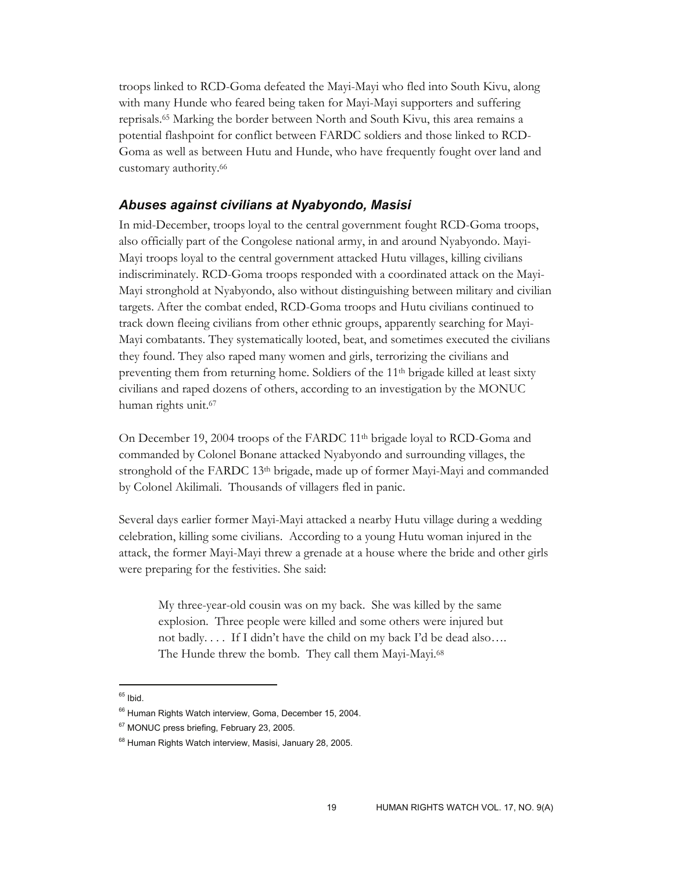troops linked to RCD-Goma defeated the Mayi-Mayi who fled into South Kivu, along with many Hunde who feared being taken for Mayi-Mayi supporters and suffering reprisals.65 Marking the border between North and South Kivu, this area remains a potential flashpoint for conflict between FARDC soldiers and those linked to RCD-Goma as well as between Hutu and Hunde, who have frequently fought over land and customary authority.66

# *Abuses against civilians at Nyabyondo, Masisi*

In mid-December, troops loyal to the central government fought RCD-Goma troops, also officially part of the Congolese national army, in and around Nyabyondo. Mayi-Mayi troops loyal to the central government attacked Hutu villages, killing civilians indiscriminately. RCD-Goma troops responded with a coordinated attack on the Mayi-Mayi stronghold at Nyabyondo, also without distinguishing between military and civilian targets. After the combat ended, RCD-Goma troops and Hutu civilians continued to track down fleeing civilians from other ethnic groups, apparently searching for Mayi-Mayi combatants. They systematically looted, beat, and sometimes executed the civilians they found. They also raped many women and girls, terrorizing the civilians and preventing them from returning home. Soldiers of the  $11<sup>th</sup>$  brigade killed at least sixty civilians and raped dozens of others, according to an investigation by the MONUC human rights unit.67

On December 19, 2004 troops of the FARDC  $11<sup>th</sup>$  brigade loyal to RCD-Goma and commanded by Colonel Bonane attacked Nyabyondo and surrounding villages, the stronghold of the FARDC 13th brigade, made up of former Mayi-Mayi and commanded by Colonel Akilimali. Thousands of villagers fled in panic.

Several days earlier former Mayi-Mayi attacked a nearby Hutu village during a wedding celebration, killing some civilians. According to a young Hutu woman injured in the attack, the former Mayi-Mayi threw a grenade at a house where the bride and other girls were preparing for the festivities. She said:

My three-year-old cousin was on my back. She was killed by the same explosion. Three people were killed and some others were injured but not badly. . . . If I didn't have the child on my back I'd be dead also…. The Hunde threw the bomb. They call them Mayi-Mayi.68

<sup>&</sup>lt;sup>65</sup> Ibid.

<sup>&</sup>lt;sup>66</sup> Human Rights Watch interview, Goma, December 15, 2004.

<sup>&</sup>lt;sup>67</sup> MONUC press briefing, February 23, 2005.

<sup>&</sup>lt;sup>68</sup> Human Rights Watch interview, Masisi, January 28, 2005.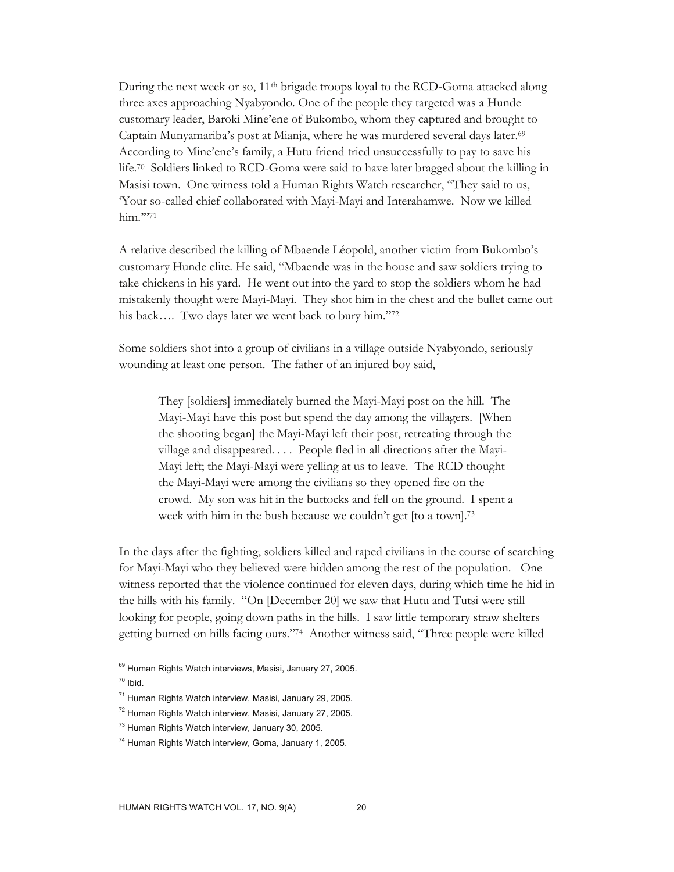During the next week or so, 11<sup>th</sup> brigade troops loyal to the RCD-Goma attacked along three axes approaching Nyabyondo. One of the people they targeted was a Hunde customary leader, Baroki Mine'ene of Bukombo, whom they captured and brought to Captain Munyamariba's post at Mianja, where he was murdered several days later.69 According to Mine'ene's family, a Hutu friend tried unsuccessfully to pay to save his life.70 Soldiers linked to RCD-Goma were said to have later bragged about the killing in Masisi town. One witness told a Human Rights Watch researcher, "They said to us, 'Your so-called chief collaborated with Mayi-Mayi and Interahamwe. Now we killed him."71

A relative described the killing of Mbaende Léopold, another victim from Bukombo's customary Hunde elite. He said, "Mbaende was in the house and saw soldiers trying to take chickens in his yard. He went out into the yard to stop the soldiers whom he had mistakenly thought were Mayi-Mayi. They shot him in the chest and the bullet came out his back…. Two days later we went back to bury him."72

Some soldiers shot into a group of civilians in a village outside Nyabyondo, seriously wounding at least one person. The father of an injured boy said,

They [soldiers] immediately burned the Mayi-Mayi post on the hill. The Mayi-Mayi have this post but spend the day among the villagers. [When the shooting began] the Mayi-Mayi left their post, retreating through the village and disappeared. . . . People fled in all directions after the Mayi-Mayi left; the Mayi-Mayi were yelling at us to leave. The RCD thought the Mayi-Mayi were among the civilians so they opened fire on the crowd. My son was hit in the buttocks and fell on the ground. I spent a week with him in the bush because we couldn't get [to a town].<sup>73</sup>

In the days after the fighting, soldiers killed and raped civilians in the course of searching for Mayi-Mayi who they believed were hidden among the rest of the population. One witness reported that the violence continued for eleven days, during which time he hid in the hills with his family. "On [December 20] we saw that Hutu and Tutsi were still looking for people, going down paths in the hills. I saw little temporary straw shelters getting burned on hills facing ours."74 Another witness said, "Three people were killed

<sup>69</sup> Human Rights Watch interviews, Masisi, January 27, 2005.

 $70$  Ibid.

<sup>71</sup> Human Rights Watch interview, Masisi, January 29, 2005.

<sup>&</sup>lt;sup>72</sup> Human Rights Watch interview, Masisi, January 27, 2005.

<sup>73</sup> Human Rights Watch interview, January 30, 2005.

<sup>74</sup> Human Rights Watch interview, Goma, January 1, 2005.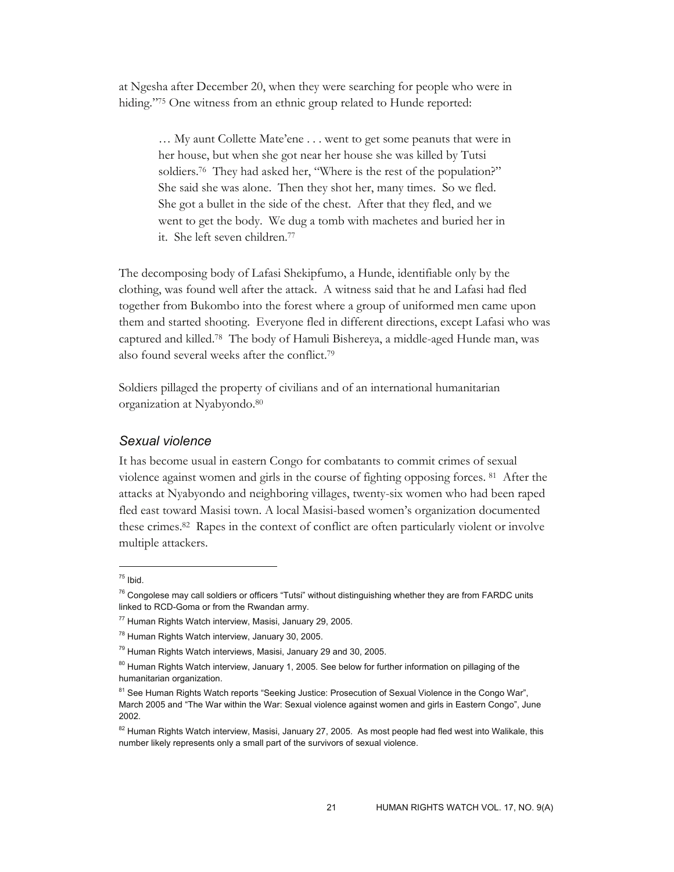at Ngesha after December 20, when they were searching for people who were in hiding."<sup>75</sup> One witness from an ethnic group related to Hunde reported:

… My aunt Collette Mate'ene . . . went to get some peanuts that were in her house, but when she got near her house she was killed by Tutsi soldiers.76 They had asked her, "Where is the rest of the population?" She said she was alone. Then they shot her, many times. So we fled. She got a bullet in the side of the chest. After that they fled, and we went to get the body. We dug a tomb with machetes and buried her in it. She left seven children.77

The decomposing body of Lafasi Shekipfumo, a Hunde, identifiable only by the clothing, was found well after the attack. A witness said that he and Lafasi had fled together from Bukombo into the forest where a group of uniformed men came upon them and started shooting. Everyone fled in different directions, except Lafasi who was captured and killed.78 The body of Hamuli Bishereya, a middle-aged Hunde man, was also found several weeks after the conflict.79

Soldiers pillaged the property of civilians and of an international humanitarian organization at Nyabyondo.80

# *Sexual violence*

It has become usual in eastern Congo for combatants to commit crimes of sexual violence against women and girls in the course of fighting opposing forces. 81 After the attacks at Nyabyondo and neighboring villages, twenty-six women who had been raped fled east toward Masisi town. A local Masisi-based women's organization documented these crimes.82 Rapes in the context of conflict are often particularly violent or involve multiple attackers.

 $75$  Ibid.

 $76$  Congolese may call soldiers or officers "Tutsi" without distinguishing whether they are from FARDC units linked to RCD-Goma or from the Rwandan army.

<sup>77</sup> Human Rights Watch interview, Masisi, January 29, 2005.

<sup>&</sup>lt;sup>78</sup> Human Rights Watch interview, January 30, 2005.

<sup>&</sup>lt;sup>79</sup> Human Rights Watch interviews, Masisi, January 29 and 30, 2005.

<sup>&</sup>lt;sup>80</sup> Human Rights Watch interview, January 1, 2005. See below for further information on pillaging of the humanitarian organization.

<sup>&</sup>lt;sup>81</sup> See Human Rights Watch reports "Seeking Justice: Prosecution of Sexual Violence in the Congo War", March 2005 and "The War within the War: Sexual violence against women and girls in Eastern Congo", June 2002.

<sup>&</sup>lt;sup>82</sup> Human Rights Watch interview, Masisi, January 27, 2005. As most people had fled west into Walikale, this number likely represents only a small part of the survivors of sexual violence.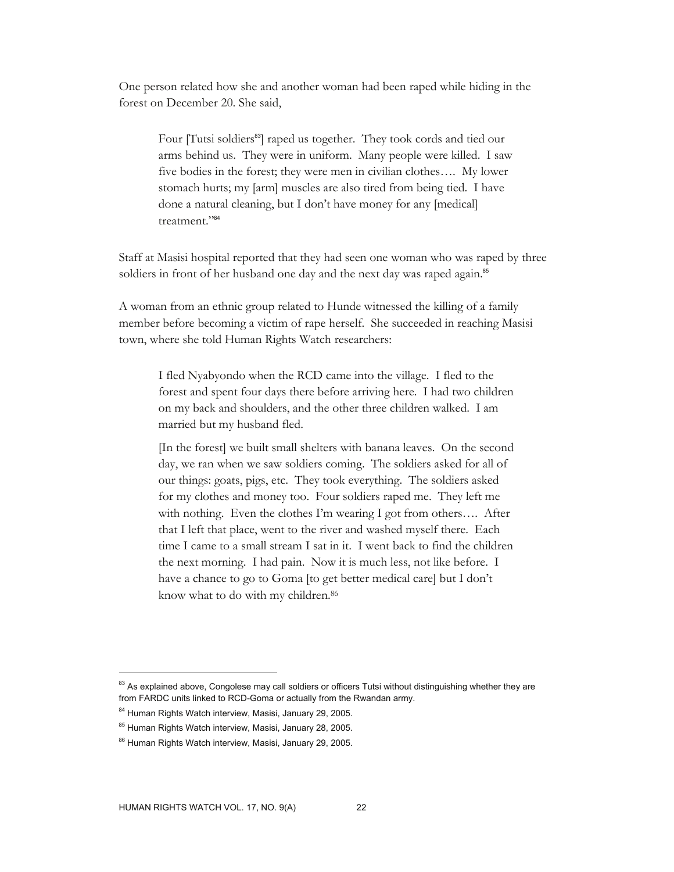One person related how she and another woman had been raped while hiding in the forest on December 20. She said,

Four [Tutsi soldiers<sup>83</sup>] raped us together. They took cords and tied our arms behind us. They were in uniform. Many people were killed. I saw five bodies in the forest; they were men in civilian clothes…. My lower stomach hurts; my [arm] muscles are also tired from being tied. I have done a natural cleaning, but I don't have money for any [medical] treatment."<sup>84</sup>

Staff at Masisi hospital reported that they had seen one woman who was raped by three soldiers in front of her husband one day and the next day was raped again.<sup>85</sup>

A woman from an ethnic group related to Hunde witnessed the killing of a family member before becoming a victim of rape herself. She succeeded in reaching Masisi town, where she told Human Rights Watch researchers:

I fled Nyabyondo when the RCD came into the village. I fled to the forest and spent four days there before arriving here. I had two children on my back and shoulders, and the other three children walked. I am married but my husband fled.

[In the forest] we built small shelters with banana leaves. On the second day, we ran when we saw soldiers coming. The soldiers asked for all of our things: goats, pigs, etc. They took everything. The soldiers asked for my clothes and money too. Four soldiers raped me. They left me with nothing. Even the clothes I'm wearing I got from others…. After that I left that place, went to the river and washed myself there. Each time I came to a small stream I sat in it. I went back to find the children the next morning. I had pain. Now it is much less, not like before. I have a chance to go to Goma [to get better medical care] but I don't know what to do with my children.<sup>86</sup>

<sup>&</sup>lt;sup>83</sup> As explained above, Congolese may call soldiers or officers Tutsi without distinguishing whether they are from FARDC units linked to RCD-Goma or actually from the Rwandan army.

<sup>&</sup>lt;sup>84</sup> Human Rights Watch interview, Masisi, January 29, 2005.

<sup>85</sup> Human Rights Watch interview, Masisi, January 28, 2005.

<sup>86</sup> Human Rights Watch interview, Masisi, January 29, 2005.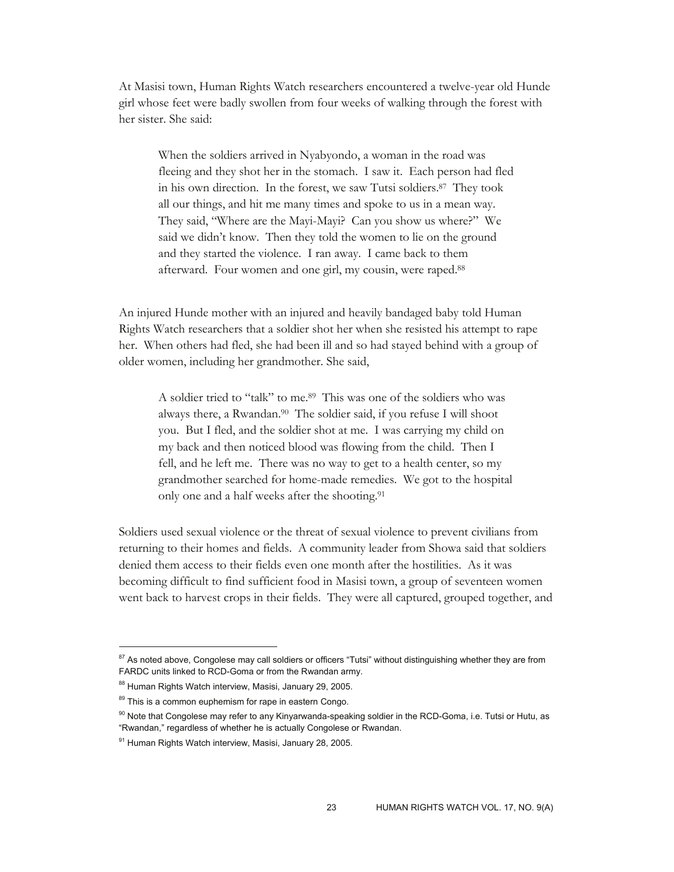At Masisi town, Human Rights Watch researchers encountered a twelve-year old Hunde girl whose feet were badly swollen from four weeks of walking through the forest with her sister. She said:

When the soldiers arrived in Nyabyondo, a woman in the road was fleeing and they shot her in the stomach. I saw it. Each person had fled in his own direction. In the forest, we saw Tutsi soldiers.87 They took all our things, and hit me many times and spoke to us in a mean way. They said, "Where are the Mayi-Mayi? Can you show us where?" We said we didn't know. Then they told the women to lie on the ground and they started the violence. I ran away. I came back to them afterward. Four women and one girl, my cousin, were raped.88

An injured Hunde mother with an injured and heavily bandaged baby told Human Rights Watch researchers that a soldier shot her when she resisted his attempt to rape her. When others had fled, she had been ill and so had stayed behind with a group of older women, including her grandmother. She said,

A soldier tried to "talk" to me.89 This was one of the soldiers who was always there, a Rwandan.90 The soldier said, if you refuse I will shoot you. But I fled, and the soldier shot at me. I was carrying my child on my back and then noticed blood was flowing from the child. Then I fell, and he left me. There was no way to get to a health center, so my grandmother searched for home-made remedies. We got to the hospital only one and a half weeks after the shooting.91

Soldiers used sexual violence or the threat of sexual violence to prevent civilians from returning to their homes and fields. A community leader from Showa said that soldiers denied them access to their fields even one month after the hostilities. As it was becoming difficult to find sufficient food in Masisi town, a group of seventeen women went back to harvest crops in their fields. They were all captured, grouped together, and

<sup>&</sup>lt;sup>87</sup> As noted above, Congolese may call soldiers or officers "Tutsi" without distinguishing whether they are from FARDC units linked to RCD-Goma or from the Rwandan army.

<sup>88</sup> Human Rights Watch interview, Masisi, January 29, 2005.

<sup>&</sup>lt;sup>89</sup> This is a common euphemism for rape in eastern Congo.

<sup>&</sup>lt;sup>90</sup> Note that Congolese may refer to any Kinyarwanda-speaking soldier in the RCD-Goma, i.e. Tutsi or Hutu, as "Rwandan," regardless of whether he is actually Congolese or Rwandan.

<sup>91</sup> Human Rights Watch interview, Masisi, January 28, 2005.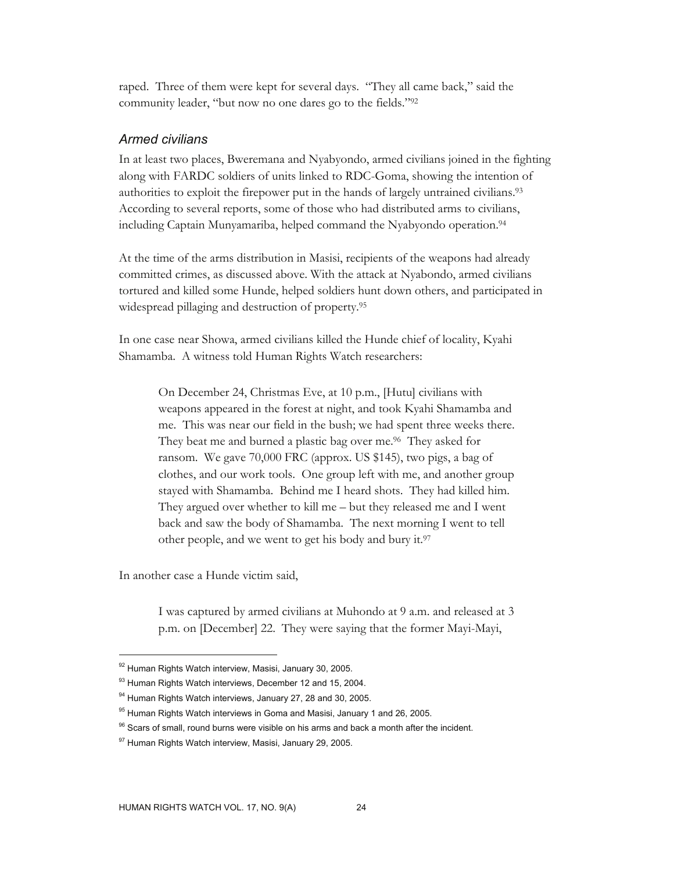raped. Three of them were kept for several days. "They all came back," said the community leader, "but now no one dares go to the fields."92

#### *Armed civilians*

In at least two places, Bweremana and Nyabyondo, armed civilians joined in the fighting along with FARDC soldiers of units linked to RDC-Goma, showing the intention of authorities to exploit the firepower put in the hands of largely untrained civilians.93 According to several reports, some of those who had distributed arms to civilians, including Captain Munyamariba, helped command the Nyabyondo operation.94

At the time of the arms distribution in Masisi, recipients of the weapons had already committed crimes, as discussed above. With the attack at Nyabondo, armed civilians tortured and killed some Hunde, helped soldiers hunt down others, and participated in widespread pillaging and destruction of property.95

In one case near Showa, armed civilians killed the Hunde chief of locality, Kyahi Shamamba. A witness told Human Rights Watch researchers:

On December 24, Christmas Eve, at 10 p.m., [Hutu] civilians with weapons appeared in the forest at night, and took Kyahi Shamamba and me. This was near our field in the bush; we had spent three weeks there. They beat me and burned a plastic bag over me.<sup>96</sup> They asked for ransom. We gave 70,000 FRC (approx. US \$145), two pigs, a bag of clothes, and our work tools. One group left with me, and another group stayed with Shamamba. Behind me I heard shots. They had killed him. They argued over whether to kill me – but they released me and I went back and saw the body of Shamamba. The next morning I went to tell other people, and we went to get his body and bury it.97

In another case a Hunde victim said,

-

I was captured by armed civilians at Muhondo at 9 a.m. and released at 3 p.m. on [December] 22. They were saying that the former Mayi-Mayi,

<sup>92</sup> Human Rights Watch interview, Masisi, January 30, 2005.

<sup>93</sup> Human Rights Watch interviews, December 12 and 15, 2004.

<sup>94</sup> Human Rights Watch interviews, January 27, 28 and 30, 2005.

 $95$  Human Rights Watch interviews in Goma and Masisi, January 1 and 26, 2005.

 $96$  Scars of small, round burns were visible on his arms and back a month after the incident.

<sup>97</sup> Human Rights Watch interview, Masisi, January 29, 2005.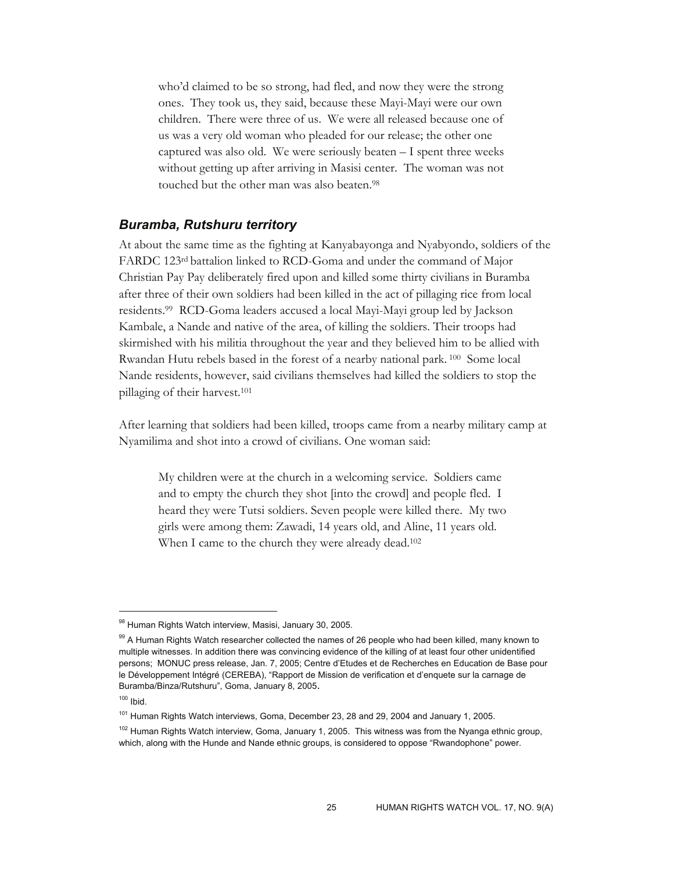who'd claimed to be so strong, had fled, and now they were the strong ones. They took us, they said, because these Mayi-Mayi were our own children. There were three of us. We were all released because one of us was a very old woman who pleaded for our release; the other one captured was also old. We were seriously beaten – I spent three weeks without getting up after arriving in Masisi center. The woman was not touched but the other man was also beaten.98

# *Buramba, Rutshuru territory*

At about the same time as the fighting at Kanyabayonga and Nyabyondo, soldiers of the FARDC 123rd battalion linked to RCD-Goma and under the command of Major Christian Pay Pay deliberately fired upon and killed some thirty civilians in Buramba after three of their own soldiers had been killed in the act of pillaging rice from local residents.99 RCD-Goma leaders accused a local Mayi-Mayi group led by Jackson Kambale, a Nande and native of the area, of killing the soldiers. Their troops had skirmished with his militia throughout the year and they believed him to be allied with Rwandan Hutu rebels based in the forest of a nearby national park. <sup>100</sup> Some local Nande residents, however, said civilians themselves had killed the soldiers to stop the pillaging of their harvest.101

After learning that soldiers had been killed, troops came from a nearby military camp at Nyamilima and shot into a crowd of civilians. One woman said:

My children were at the church in a welcoming service. Soldiers came and to empty the church they shot [into the crowd] and people fled. I heard they were Tutsi soldiers. Seven people were killed there. My two girls were among them: Zawadi, 14 years old, and Aline, 11 years old. When I came to the church they were already dead.<sup>102</sup>

<sup>98</sup> Human Rights Watch interview, Masisi, January 30, 2005.

<sup>99</sup> A Human Rights Watch researcher collected the names of 26 people who had been killed, many known to multiple witnesses. In addition there was convincing evidence of the killing of at least four other unidentified persons; MONUC press release, Jan. 7, 2005; Centre d'Etudes et de Recherches en Education de Base pour le Développement Intégré (CEREBA), "Rapport de Mission de verification et d'enquete sur la carnage de Buramba/Binza/Rutshuru", Goma, January 8, 2005.

 $100$  Ibid.

<sup>&</sup>lt;sup>101</sup> Human Rights Watch interviews, Goma, December 23, 28 and 29, 2004 and January 1, 2005.

<sup>&</sup>lt;sup>102</sup> Human Rights Watch interview, Goma, January 1, 2005. This witness was from the Nyanga ethnic group, which, along with the Hunde and Nande ethnic groups, is considered to oppose "Rwandophone" power.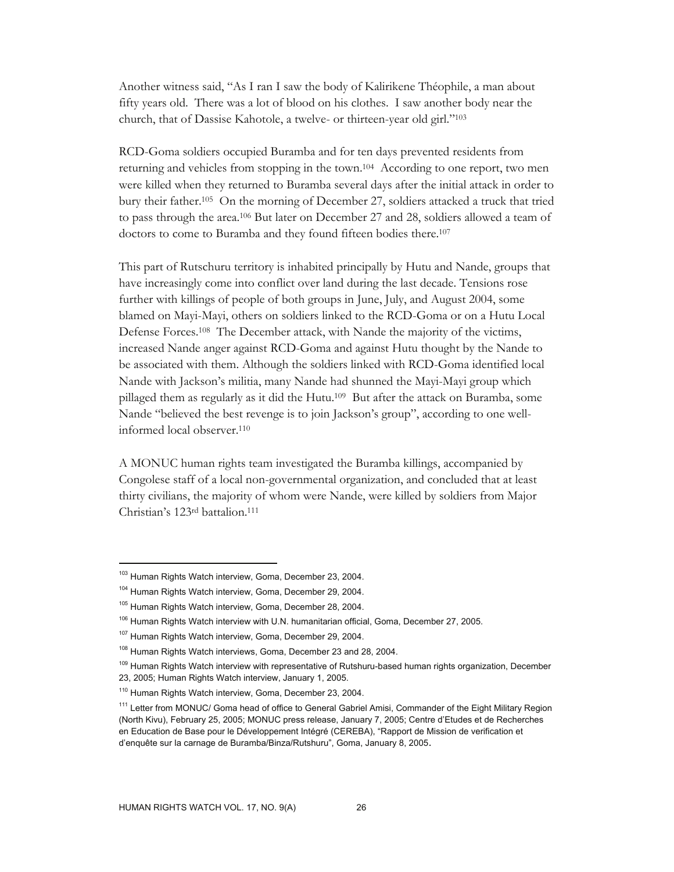Another witness said, "As I ran I saw the body of Kalirikene Théophile, a man about fifty years old. There was a lot of blood on his clothes. I saw another body near the church, that of Dassise Kahotole, a twelve- or thirteen-year old girl."103

RCD-Goma soldiers occupied Buramba and for ten days prevented residents from returning and vehicles from stopping in the town.104 According to one report, two men were killed when they returned to Buramba several days after the initial attack in order to bury their father.105 On the morning of December 27, soldiers attacked a truck that tried to pass through the area.106 But later on December 27 and 28, soldiers allowed a team of doctors to come to Buramba and they found fifteen bodies there.<sup>107</sup>

This part of Rutschuru territory is inhabited principally by Hutu and Nande, groups that have increasingly come into conflict over land during the last decade. Tensions rose further with killings of people of both groups in June, July, and August 2004, some blamed on Mayi-Mayi, others on soldiers linked to the RCD-Goma or on a Hutu Local Defense Forces.108 The December attack, with Nande the majority of the victims, increased Nande anger against RCD-Goma and against Hutu thought by the Nande to be associated with them. Although the soldiers linked with RCD-Goma identified local Nande with Jackson's militia, many Nande had shunned the Mayi-Mayi group which pillaged them as regularly as it did the Hutu.109 But after the attack on Buramba, some Nande "believed the best revenge is to join Jackson's group", according to one wellinformed local observer.110

A MONUC human rights team investigated the Buramba killings, accompanied by Congolese staff of a local non-governmental organization, and concluded that at least thirty civilians, the majority of whom were Nande, were killed by soldiers from Major Christian's 123rd battalion.111

<sup>&</sup>lt;sup>103</sup> Human Rights Watch interview, Goma, December 23, 2004.

<sup>104</sup> Human Rights Watch interview, Goma, December 29, 2004.

<sup>&</sup>lt;sup>105</sup> Human Rights Watch interview, Goma, December 28, 2004.

<sup>&</sup>lt;sup>106</sup> Human Rights Watch interview with U.N. humanitarian official, Goma, December 27, 2005.

<sup>107</sup> Human Rights Watch interview, Goma, December 29, 2004.

<sup>&</sup>lt;sup>108</sup> Human Rights Watch interviews, Goma, December 23 and 28, 2004.

<sup>&</sup>lt;sup>109</sup> Human Rights Watch interview with representative of Rutshuru-based human rights organization, December 23, 2005; Human Rights Watch interview, January 1, 2005.

<sup>110</sup> Human Rights Watch interview, Goma, December 23, 2004.

<sup>&</sup>lt;sup>111</sup> Letter from MONUC/ Goma head of office to General Gabriel Amisi, Commander of the Eight Military Region (North Kivu), February 25, 2005; MONUC press release, January 7, 2005; Centre d'Etudes et de Recherches en Education de Base pour le Développement Intégré (CEREBA), "Rapport de Mission de verification et d'enquête sur la carnage de Buramba/Binza/Rutshuru", Goma, January 8, 2005.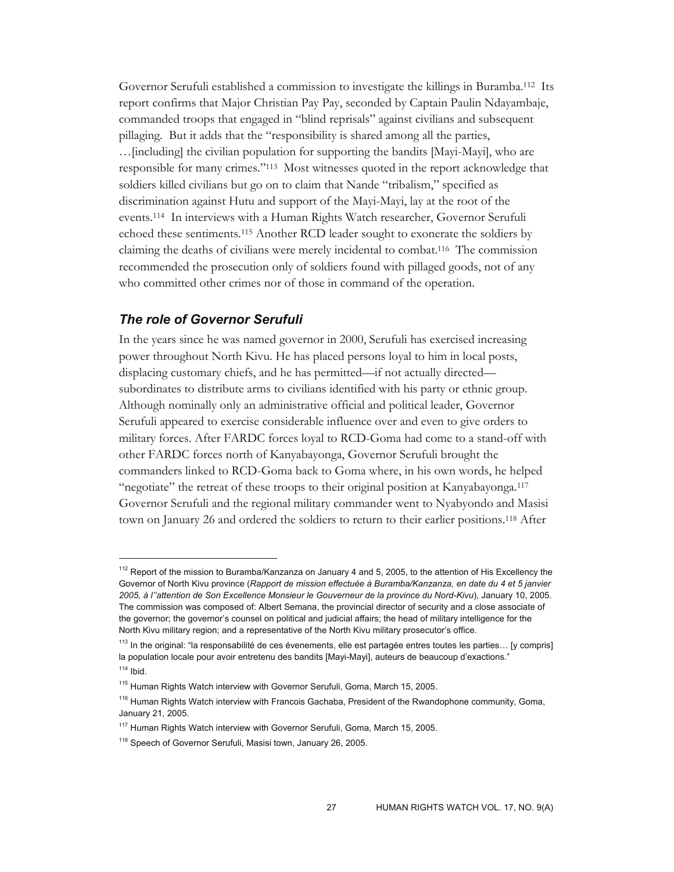Governor Serufuli established a commission to investigate the killings in Buramba.112 Its report confirms that Major Christian Pay Pay, seconded by Captain Paulin Ndayambaje, commanded troops that engaged in "blind reprisals" against civilians and subsequent pillaging. But it adds that the "responsibility is shared among all the parties, …[including] the civilian population for supporting the bandits [Mayi-Mayi], who are responsible for many crimes."113 Most witnesses quoted in the report acknowledge that soldiers killed civilians but go on to claim that Nande "tribalism," specified as discrimination against Hutu and support of the Mayi-Mayi, lay at the root of the events.114 In interviews with a Human Rights Watch researcher, Governor Serufuli echoed these sentiments.115 Another RCD leader sought to exonerate the soldiers by claiming the deaths of civilians were merely incidental to combat.116 The commission recommended the prosecution only of soldiers found with pillaged goods, not of any who committed other crimes nor of those in command of the operation.

## *The role of Governor Serufuli*

 $\overline{a}$ 

In the years since he was named governor in 2000, Serufuli has exercised increasing power throughout North Kivu. He has placed persons loyal to him in local posts, displacing customary chiefs, and he has permitted—if not actually directed subordinates to distribute arms to civilians identified with his party or ethnic group. Although nominally only an administrative official and political leader, Governor Serufuli appeared to exercise considerable influence over and even to give orders to military forces. After FARDC forces loyal to RCD-Goma had come to a stand-off with other FARDC forces north of Kanyabayonga, Governor Serufuli brought the commanders linked to RCD-Goma back to Goma where, in his own words, he helped "negotiate" the retreat of these troops to their original position at Kanyabayonga.117 Governor Serufuli and the regional military commander went to Nyabyondo and Masisi town on January 26 and ordered the soldiers to return to their earlier positions.118 After

 $112$  Report of the mission to Buramba/Kanzanza on January 4 and 5, 2005, to the attention of His Excellency the Governor of North Kivu province (*Rapport de mission effectuée à Buramba/Kanzanza, en date du 4 et 5 janvier 2005, à l''attention de Son Excellence Monsieur le Gouverneur de la province du Nord-Kivu*), January 10, 2005. The commission was composed of: Albert Semana, the provincial director of security and a close associate of the governor; the governor's counsel on political and judicial affairs; the head of military intelligence for the North Kivu military region; and a representative of the North Kivu military prosecutor's office.

<sup>&</sup>lt;sup>113</sup> In the original: "la responsabilité de ces évenements, elle est partagée entres toutes les parties... [y compris] la population locale pour avoir entretenu des bandits [Mayi-Mayi], auteurs de beaucoup d'exactions."  $114$  Ibid.

<sup>&</sup>lt;sup>115</sup> Human Rights Watch interview with Governor Serufuli, Goma, March 15, 2005.

<sup>&</sup>lt;sup>116</sup> Human Rights Watch interview with Francois Gachaba, President of the Rwandophone community, Goma, January 21, 2005.

<sup>&</sup>lt;sup>117</sup> Human Rights Watch interview with Governor Serufuli, Goma, March 15, 2005.

<sup>&</sup>lt;sup>118</sup> Speech of Governor Serufuli, Masisi town, January 26, 2005.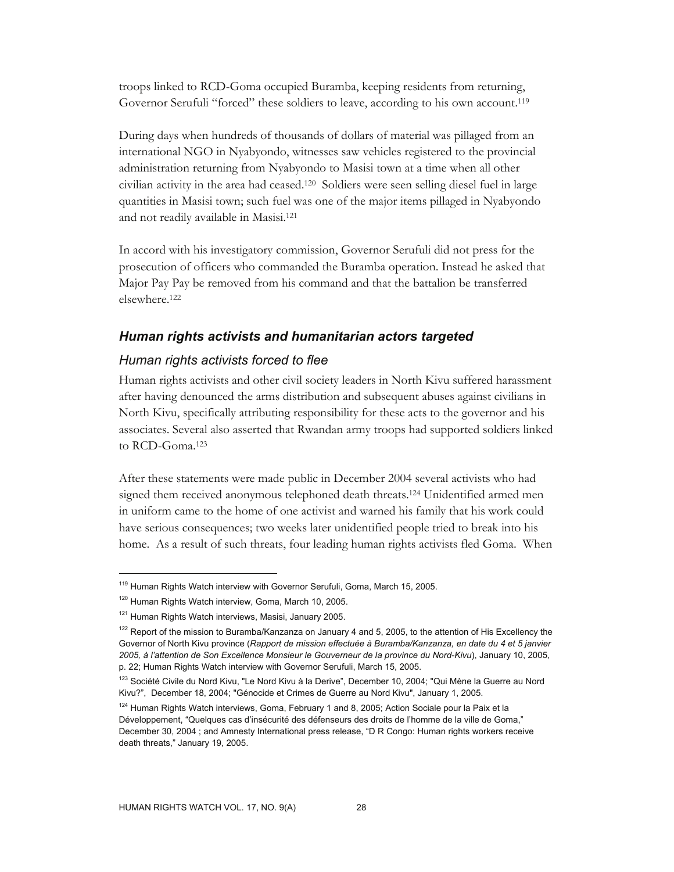troops linked to RCD-Goma occupied Buramba, keeping residents from returning, Governor Serufuli "forced" these soldiers to leave, according to his own account.<sup>119</sup>

During days when hundreds of thousands of dollars of material was pillaged from an international NGO in Nyabyondo, witnesses saw vehicles registered to the provincial administration returning from Nyabyondo to Masisi town at a time when all other civilian activity in the area had ceased.120 Soldiers were seen selling diesel fuel in large quantities in Masisi town; such fuel was one of the major items pillaged in Nyabyondo and not readily available in Masisi.121

In accord with his investigatory commission, Governor Serufuli did not press for the prosecution of officers who commanded the Buramba operation. Instead he asked that Major Pay Pay be removed from his command and that the battalion be transferred elsewhere.122

#### *Human rights activists and humanitarian actors targeted*

#### *Human rights activists forced to flee*

Human rights activists and other civil society leaders in North Kivu suffered harassment after having denounced the arms distribution and subsequent abuses against civilians in North Kivu, specifically attributing responsibility for these acts to the governor and his associates. Several also asserted that Rwandan army troops had supported soldiers linked to  $RCD$ -Goma<sup>123</sup>

After these statements were made public in December 2004 several activists who had signed them received anonymous telephoned death threats.124 Unidentified armed men in uniform came to the home of one activist and warned his family that his work could have serious consequences; two weeks later unidentified people tried to break into his home. As a result of such threats, four leading human rights activists fled Goma. When

<sup>&</sup>lt;sup>119</sup> Human Rights Watch interview with Governor Serufuli, Goma, March 15, 2005.

<sup>&</sup>lt;sup>120</sup> Human Rights Watch interview, Goma, March 10, 2005.

<sup>121</sup> Human Rights Watch interviews, Masisi, January 2005.

<sup>&</sup>lt;sup>122</sup> Report of the mission to Buramba/Kanzanza on January 4 and 5, 2005, to the attention of His Excellency the Governor of North Kivu province (*Rapport de mission effectuée à Buramba/Kanzanza, en date du 4 et 5 janvier 2005, à l'attention de Son Excellence Monsieur le Gouverneur de la province du Nord-Kivu*), January 10, 2005, p. 22; Human Rights Watch interview with Governor Serufuli, March 15, 2005.

<sup>&</sup>lt;sup>123</sup> Société Civile du Nord Kivu, "Le Nord Kivu à la Derive", December 10, 2004; "Qui Mène la Guerre au Nord Kivu?", December 18, 2004; "Génocide et Crimes de Guerre au Nord Kivu", January 1, 2005.

<sup>&</sup>lt;sup>124</sup> Human Rights Watch interviews, Goma, February 1 and 8, 2005; Action Sociale pour la Paix et la Développement, "Quelques cas d'insécurité des défenseurs des droits de l'homme de la ville de Goma," December 30, 2004 ; and Amnesty International press release, "D R Congo: Human rights workers receive death threats," January 19, 2005.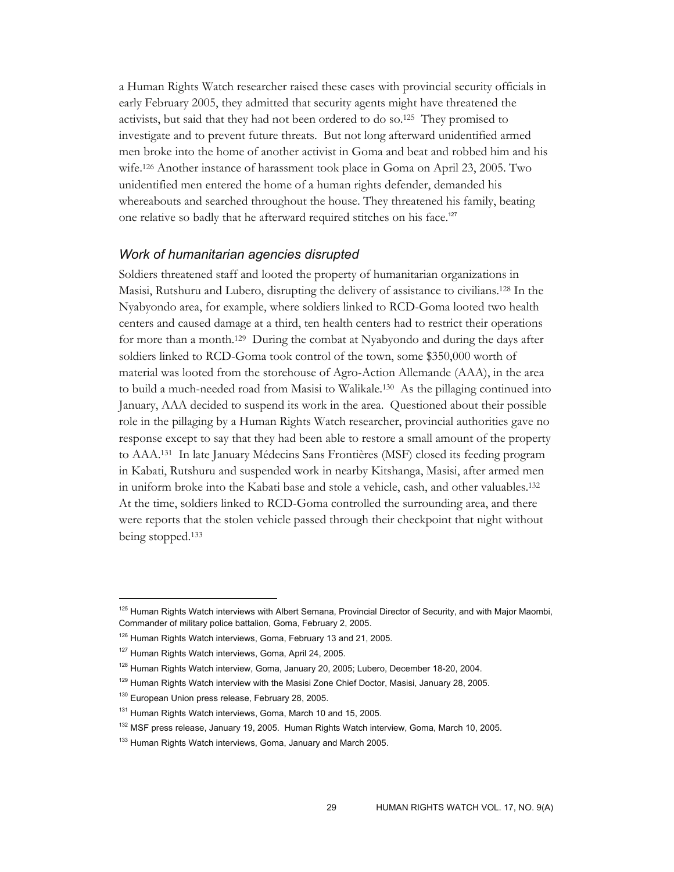a Human Rights Watch researcher raised these cases with provincial security officials in early February 2005, they admitted that security agents might have threatened the activists, but said that they had not been ordered to do so.125 They promised to investigate and to prevent future threats. But not long afterward unidentified armed men broke into the home of another activist in Goma and beat and robbed him and his wife.126 Another instance of harassment took place in Goma on April 23, 2005. Two unidentified men entered the home of a human rights defender, demanded his whereabouts and searched throughout the house. They threatened his family, beating one relative so badly that he afterward required stitches on his face.<sup>127</sup>

# *Work of humanitarian agencies disrupted*

Soldiers threatened staff and looted the property of humanitarian organizations in Masisi, Rutshuru and Lubero, disrupting the delivery of assistance to civilians.128 In the Nyabyondo area, for example, where soldiers linked to RCD-Goma looted two health centers and caused damage at a third, ten health centers had to restrict their operations for more than a month.129 During the combat at Nyabyondo and during the days after soldiers linked to RCD-Goma took control of the town, some \$350,000 worth of material was looted from the storehouse of Agro-Action Allemande (AAA), in the area to build a much-needed road from Masisi to Walikale.130 As the pillaging continued into January, AAA decided to suspend its work in the area. Questioned about their possible role in the pillaging by a Human Rights Watch researcher, provincial authorities gave no response except to say that they had been able to restore a small amount of the property to AAA.131 In late January Médecins Sans Frontières (MSF) closed its feeding program in Kabati, Rutshuru and suspended work in nearby Kitshanga, Masisi, after armed men in uniform broke into the Kabati base and stole a vehicle, cash, and other valuables.132 At the time, soldiers linked to RCD-Goma controlled the surrounding area, and there were reports that the stolen vehicle passed through their checkpoint that night without being stopped.133

<sup>&</sup>lt;sup>125</sup> Human Rights Watch interviews with Albert Semana, Provincial Director of Security, and with Major Maombi, Commander of military police battalion, Goma, February 2, 2005.

<sup>&</sup>lt;sup>126</sup> Human Rights Watch interviews, Goma, February 13 and 21, 2005.

<sup>&</sup>lt;sup>127</sup> Human Rights Watch interviews, Goma, April 24, 2005.

<sup>&</sup>lt;sup>128</sup> Human Rights Watch interview, Goma, January 20, 2005; Lubero, December 18-20, 2004.

<sup>&</sup>lt;sup>129</sup> Human Rights Watch interview with the Masisi Zone Chief Doctor, Masisi, January 28, 2005.

<sup>&</sup>lt;sup>130</sup> European Union press release, February 28, 2005.

<sup>&</sup>lt;sup>131</sup> Human Rights Watch interviews, Goma, March 10 and 15, 2005.

<sup>&</sup>lt;sup>132</sup> MSF press release, January 19, 2005. Human Rights Watch interview, Goma, March 10, 2005.

<sup>&</sup>lt;sup>133</sup> Human Rights Watch interviews, Goma, January and March 2005.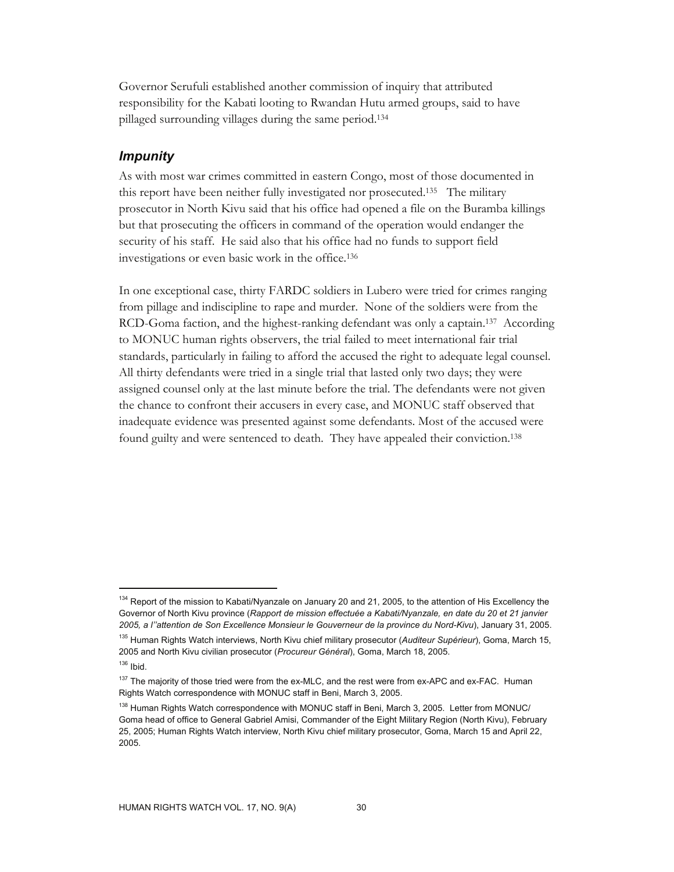Governor Serufuli established another commission of inquiry that attributed responsibility for the Kabati looting to Rwandan Hutu armed groups, said to have pillaged surrounding villages during the same period.134

# *Impunity*

As with most war crimes committed in eastern Congo, most of those documented in this report have been neither fully investigated nor prosecuted.135 The military prosecutor in North Kivu said that his office had opened a file on the Buramba killings but that prosecuting the officers in command of the operation would endanger the security of his staff. He said also that his office had no funds to support field investigations or even basic work in the office.136

In one exceptional case, thirty FARDC soldiers in Lubero were tried for crimes ranging from pillage and indiscipline to rape and murder. None of the soldiers were from the RCD-Goma faction, and the highest-ranking defendant was only a captain.137 According to MONUC human rights observers, the trial failed to meet international fair trial standards, particularly in failing to afford the accused the right to adequate legal counsel. All thirty defendants were tried in a single trial that lasted only two days; they were assigned counsel only at the last minute before the trial. The defendants were not given the chance to confront their accusers in every case, and MONUC staff observed that inadequate evidence was presented against some defendants. Most of the accused were found guilty and were sentenced to death. They have appealed their conviction.138

<sup>&</sup>lt;sup>134</sup> Report of the mission to Kabati/Nyanzale on January 20 and 21, 2005, to the attention of His Excellency the Governor of North Kivu province (*Rapport de mission effectuée a Kabati/Nyanzale, en date du 20 et 21 janvier 2005, a l''attention de Son Excellence Monsieur le Gouverneur de la province du Nord-Kivu*), January 31, 2005.

<sup>135</sup> Human Rights Watch interviews, North Kivu chief military prosecutor (*Auditeur Supérieur*), Goma, March 15, 2005 and North Kivu civilian prosecutor (*Procureur Général*), Goma, March 18, 2005.

 $136$  Ibid.

<sup>&</sup>lt;sup>137</sup> The majority of those tried were from the ex-MLC, and the rest were from ex-APC and ex-FAC. Human Rights Watch correspondence with MONUC staff in Beni, March 3, 2005.

<sup>&</sup>lt;sup>138</sup> Human Rights Watch correspondence with MONUC staff in Beni, March 3, 2005. Letter from MONUC/ Goma head of office to General Gabriel Amisi, Commander of the Eight Military Region (North Kivu), February 25, 2005; Human Rights Watch interview, North Kivu chief military prosecutor, Goma, March 15 and April 22, 2005.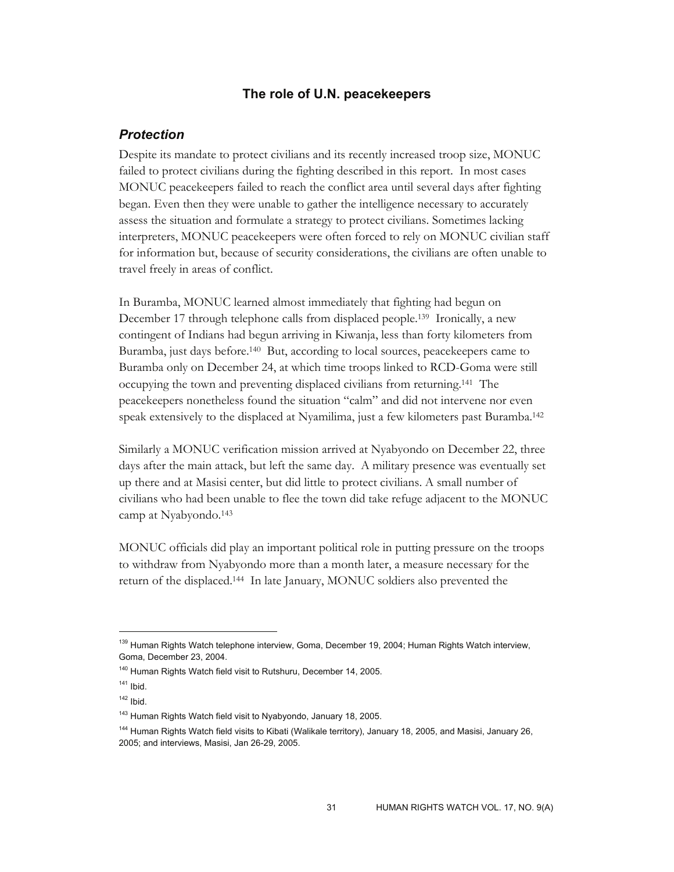#### **The role of U.N. peacekeepers**

# *Protection*

Despite its mandate to protect civilians and its recently increased troop size, MONUC failed to protect civilians during the fighting described in this report. In most cases MONUC peacekeepers failed to reach the conflict area until several days after fighting began. Even then they were unable to gather the intelligence necessary to accurately assess the situation and formulate a strategy to protect civilians. Sometimes lacking interpreters, MONUC peacekeepers were often forced to rely on MONUC civilian staff for information but, because of security considerations, the civilians are often unable to travel freely in areas of conflict.

In Buramba, MONUC learned almost immediately that fighting had begun on December 17 through telephone calls from displaced people.139 Ironically, a new contingent of Indians had begun arriving in Kiwanja, less than forty kilometers from Buramba, just days before.140 But, according to local sources, peacekeepers came to Buramba only on December 24, at which time troops linked to RCD-Goma were still occupying the town and preventing displaced civilians from returning.141 The peacekeepers nonetheless found the situation "calm" and did not intervene nor even speak extensively to the displaced at Nyamilima, just a few kilometers past Buramba.142

Similarly a MONUC verification mission arrived at Nyabyondo on December 22, three days after the main attack, but left the same day. A military presence was eventually set up there and at Masisi center, but did little to protect civilians. A small number of civilians who had been unable to flee the town did take refuge adjacent to the MONUC camp at Nyabyondo.143

MONUC officials did play an important political role in putting pressure on the troops to withdraw from Nyabyondo more than a month later, a measure necessary for the return of the displaced.144 In late January, MONUC soldiers also prevented the

<sup>&</sup>lt;sup>139</sup> Human Rights Watch telephone interview, Goma, December 19, 2004; Human Rights Watch interview, Goma, December 23, 2004.

<sup>140</sup> Human Rights Watch field visit to Rutshuru, December 14, 2005.

 $141$  Ibid.

 $142$  Ibid.

<sup>&</sup>lt;sup>143</sup> Human Rights Watch field visit to Nyabyondo, January 18, 2005.

<sup>&</sup>lt;sup>144</sup> Human Rights Watch field visits to Kibati (Walikale territory), January 18, 2005, and Masisi, January 26, 2005; and interviews, Masisi, Jan 26-29, 2005.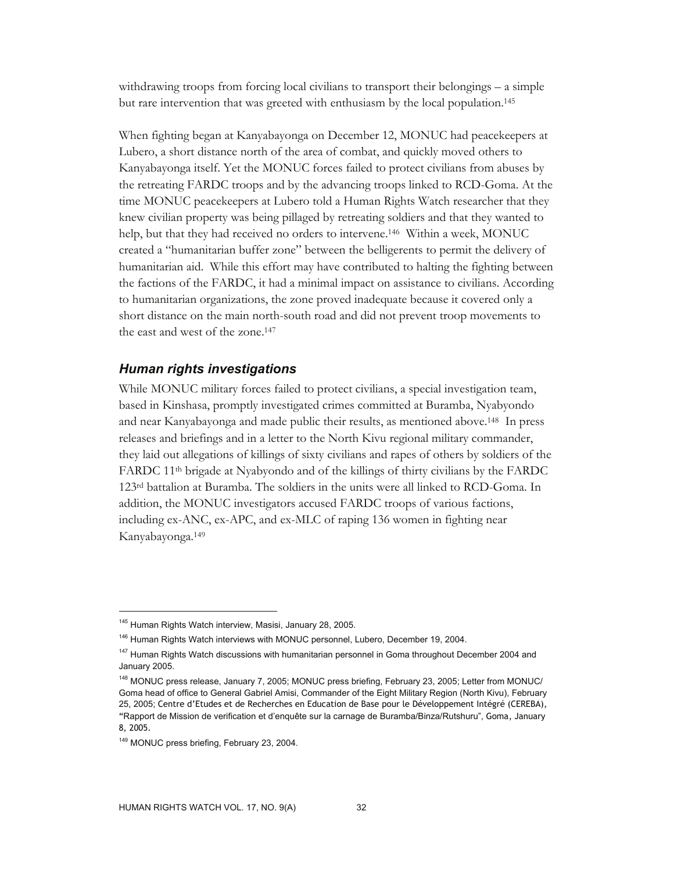withdrawing troops from forcing local civilians to transport their belongings – a simple but rare intervention that was greeted with enthusiasm by the local population.145

When fighting began at Kanyabayonga on December 12, MONUC had peacekeepers at Lubero, a short distance north of the area of combat, and quickly moved others to Kanyabayonga itself. Yet the MONUC forces failed to protect civilians from abuses by the retreating FARDC troops and by the advancing troops linked to RCD-Goma. At the time MONUC peacekeepers at Lubero told a Human Rights Watch researcher that they knew civilian property was being pillaged by retreating soldiers and that they wanted to help, but that they had received no orders to intervene.146 Within a week, MONUC created a "humanitarian buffer zone" between the belligerents to permit the delivery of humanitarian aid. While this effort may have contributed to halting the fighting between the factions of the FARDC, it had a minimal impact on assistance to civilians. According to humanitarian organizations, the zone proved inadequate because it covered only a short distance on the main north-south road and did not prevent troop movements to the east and west of the zone.147

# *Human rights investigations*

While MONUC military forces failed to protect civilians, a special investigation team, based in Kinshasa, promptly investigated crimes committed at Buramba, Nyabyondo and near Kanyabayonga and made public their results, as mentioned above.148 In press releases and briefings and in a letter to the North Kivu regional military commander, they laid out allegations of killings of sixty civilians and rapes of others by soldiers of the FARDC 11th brigade at Nyabyondo and of the killings of thirty civilians by the FARDC 123rd battalion at Buramba. The soldiers in the units were all linked to RCD-Goma. In addition, the MONUC investigators accused FARDC troops of various factions, including ex-ANC, ex-APC, and ex-MLC of raping 136 women in fighting near Kanyabayonga.149

<sup>&</sup>lt;sup>145</sup> Human Rights Watch interview, Masisi, January 28, 2005.

<sup>&</sup>lt;sup>146</sup> Human Rights Watch interviews with MONUC personnel, Lubero, December 19, 2004.

<sup>&</sup>lt;sup>147</sup> Human Rights Watch discussions with humanitarian personnel in Goma throughout December 2004 and January 2005.

<sup>148</sup> MONUC press release, January 7, 2005; MONUC press briefing, February 23, 2005; Letter from MONUC/ Goma head of office to General Gabriel Amisi, Commander of the Eight Military Region (North Kivu), February 25, 2005; Centre d'Etudes et de Recherches en Education de Base pour le Développement Intégré (CEREBA), "Rapport de Mission de verification et d'enquête sur la carnage de Buramba/Binza/Rutshuru", Goma, January 8, 2005.

<sup>&</sup>lt;sup>149</sup> MONUC press briefing, February 23, 2004.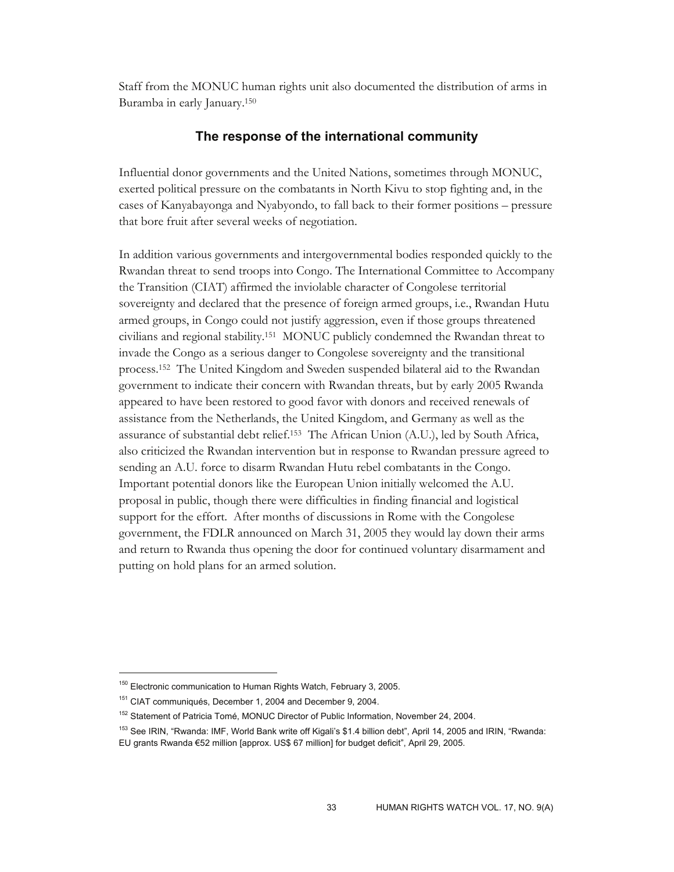Staff from the MONUC human rights unit also documented the distribution of arms in Buramba in early January.150

#### **The response of the international community**

Influential donor governments and the United Nations, sometimes through MONUC, exerted political pressure on the combatants in North Kivu to stop fighting and, in the cases of Kanyabayonga and Nyabyondo, to fall back to their former positions – pressure that bore fruit after several weeks of negotiation.

In addition various governments and intergovernmental bodies responded quickly to the Rwandan threat to send troops into Congo. The International Committee to Accompany the Transition (CIAT) affirmed the inviolable character of Congolese territorial sovereignty and declared that the presence of foreign armed groups, i.e., Rwandan Hutu armed groups, in Congo could not justify aggression, even if those groups threatened civilians and regional stability.151 MONUC publicly condemned the Rwandan threat to invade the Congo as a serious danger to Congolese sovereignty and the transitional process.152 The United Kingdom and Sweden suspended bilateral aid to the Rwandan government to indicate their concern with Rwandan threats, but by early 2005 Rwanda appeared to have been restored to good favor with donors and received renewals of assistance from the Netherlands, the United Kingdom, and Germany as well as the assurance of substantial debt relief.153 The African Union (A.U.), led by South Africa, also criticized the Rwandan intervention but in response to Rwandan pressure agreed to sending an A.U. force to disarm Rwandan Hutu rebel combatants in the Congo. Important potential donors like the European Union initially welcomed the A.U. proposal in public, though there were difficulties in finding financial and logistical support for the effort. After months of discussions in Rome with the Congolese government, the FDLR announced on March 31, 2005 they would lay down their arms and return to Rwanda thus opening the door for continued voluntary disarmament and putting on hold plans for an armed solution.

<sup>&</sup>lt;sup>150</sup> Electronic communication to Human Rights Watch, February 3, 2005.

<sup>&</sup>lt;sup>151</sup> CIAT communiqués, December 1, 2004 and December 9, 2004.

<sup>&</sup>lt;sup>152</sup> Statement of Patricia Tomé, MONUC Director of Public Information, November 24, 2004.

<sup>&</sup>lt;sup>153</sup> See IRIN, "Rwanda: IMF, World Bank write off Kigali's \$1.4 billion debt", April 14, 2005 and IRIN, "Rwanda: EU grants Rwanda €52 million [approx. US\$ 67 million] for budget deficit", April 29, 2005.